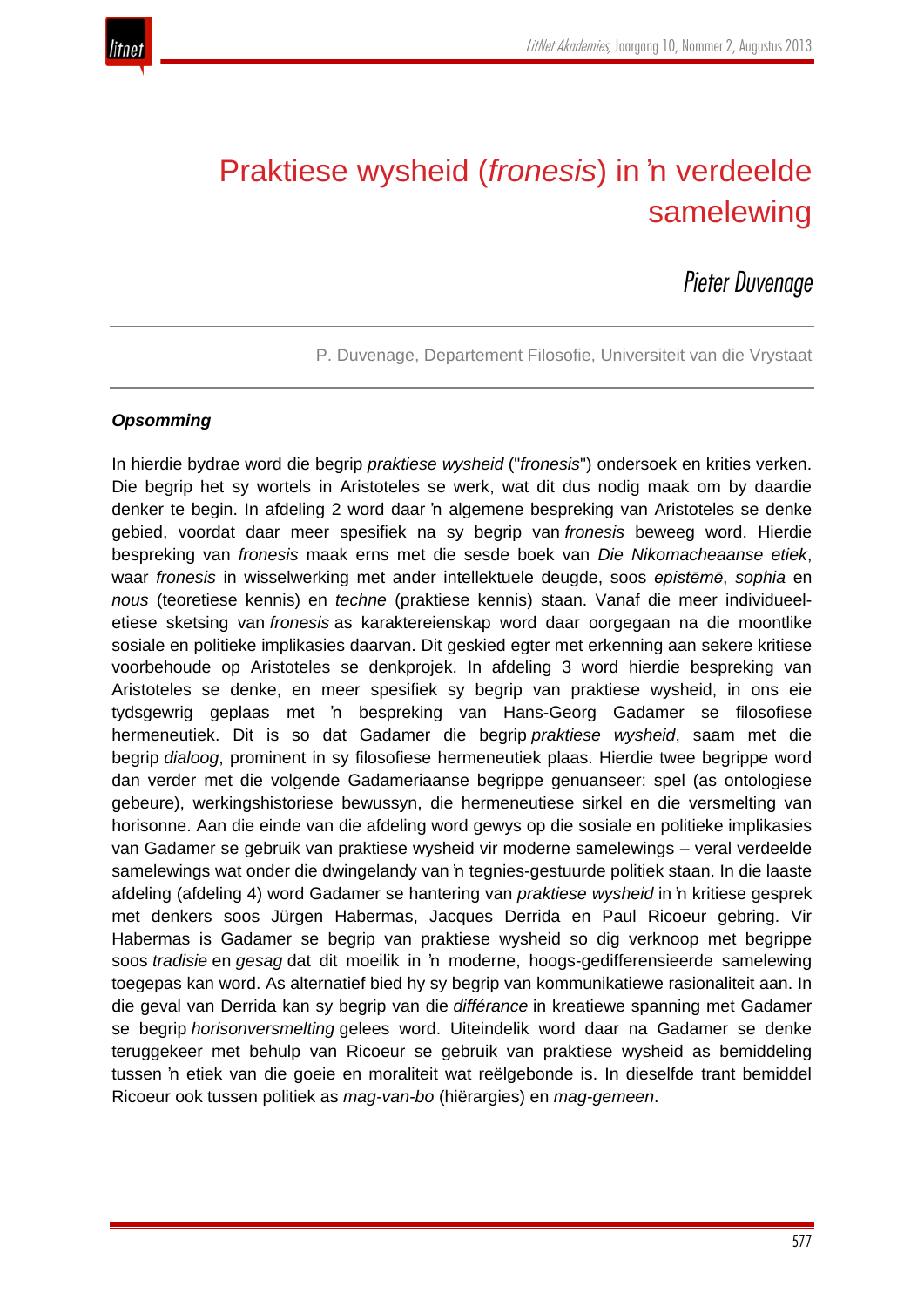

# Praktiese wysheid (*fronesis*) in 'n verdeelde samelewing

# *Pieter Duvenage*

P. Duvenage, Departement Filosofie, Universiteit van die Vrystaat

#### *Opsomming*

In hierdie bydrae word die begrip *praktiese wysheid* ("*fronesis*") ondersoek en krities verken. Die begrip het sy wortels in Aristoteles se werk, wat dit dus nodig maak om by daardie denker te begin. In afdeling 2 word daar 'n algemene bespreking van Aristoteles se denke gebied, voordat daar meer spesifiek na sy begrip van *fronesis* beweeg word. Hierdie bespreking van *fronesis* maak erns met die sesde boek van *Die Nikomacheaanse etiek*, waar *fronesis* in wisselwerking met ander intellektuele deugde, soos *epistēmē*, *sophia* en *nous* (teoretiese kennis) en *techne* (praktiese kennis) staan. Vanaf die meer individueeletiese sketsing van *fronesis* as karaktereienskap word daar oorgegaan na die moontlike sosiale en politieke implikasies daarvan. Dit geskied egter met erkenning aan sekere kritiese voorbehoude op Aristoteles se denkprojek. In afdeling 3 word hierdie bespreking van Aristoteles se denke, en meer spesifiek sy begrip van praktiese wysheid, in ons eie tydsgewrig geplaas met 'n bespreking van Hans-Georg Gadamer se filosofiese hermeneutiek. Dit is so dat Gadamer die begrip *praktiese wysheid*, saam met die begrip *dialoog*, prominent in sy filosofiese hermeneutiek plaas. Hierdie twee begrippe word dan verder met die volgende Gadameriaanse begrippe genuanseer: spel (as ontologiese gebeure), werkingshistoriese bewussyn, die hermeneutiese sirkel en die versmelting van horisonne. Aan die einde van die afdeling word gewys op die sosiale en politieke implikasies van Gadamer se gebruik van praktiese wysheid vir moderne samelewings – veral verdeelde samelewings wat onder die dwingelandy van 'n tegnies-gestuurde politiek staan. In die laaste afdeling (afdeling 4) word Gadamer se hantering van *praktiese wysheid* in 'n kritiese gesprek met denkers soos Jürgen Habermas, Jacques Derrida en Paul Ricoeur gebring. Vir Habermas is Gadamer se begrip van praktiese wysheid so dig verknoop met begrippe soos *tradisie* en *gesag* dat dit moeilik in 'n moderne, hoogs-gedifferensieerde samelewing toegepas kan word. As alternatief bied hy sy begrip van kommunikatiewe rasionaliteit aan. In die geval van Derrida kan sy begrip van die *différance* in kreatiewe spanning met Gadamer se begrip *horisonversmelting* gelees word. Uiteindelik word daar na Gadamer se denke teruggekeer met behulp van Ricoeur se gebruik van praktiese wysheid as bemiddeling tussen 'n etiek van die goeie en moraliteit wat reëlgebonde is. In dieselfde trant bemiddel Ricoeur ook tussen politiek as *mag-van-bo* (hiërargies) en *mag-gemeen*.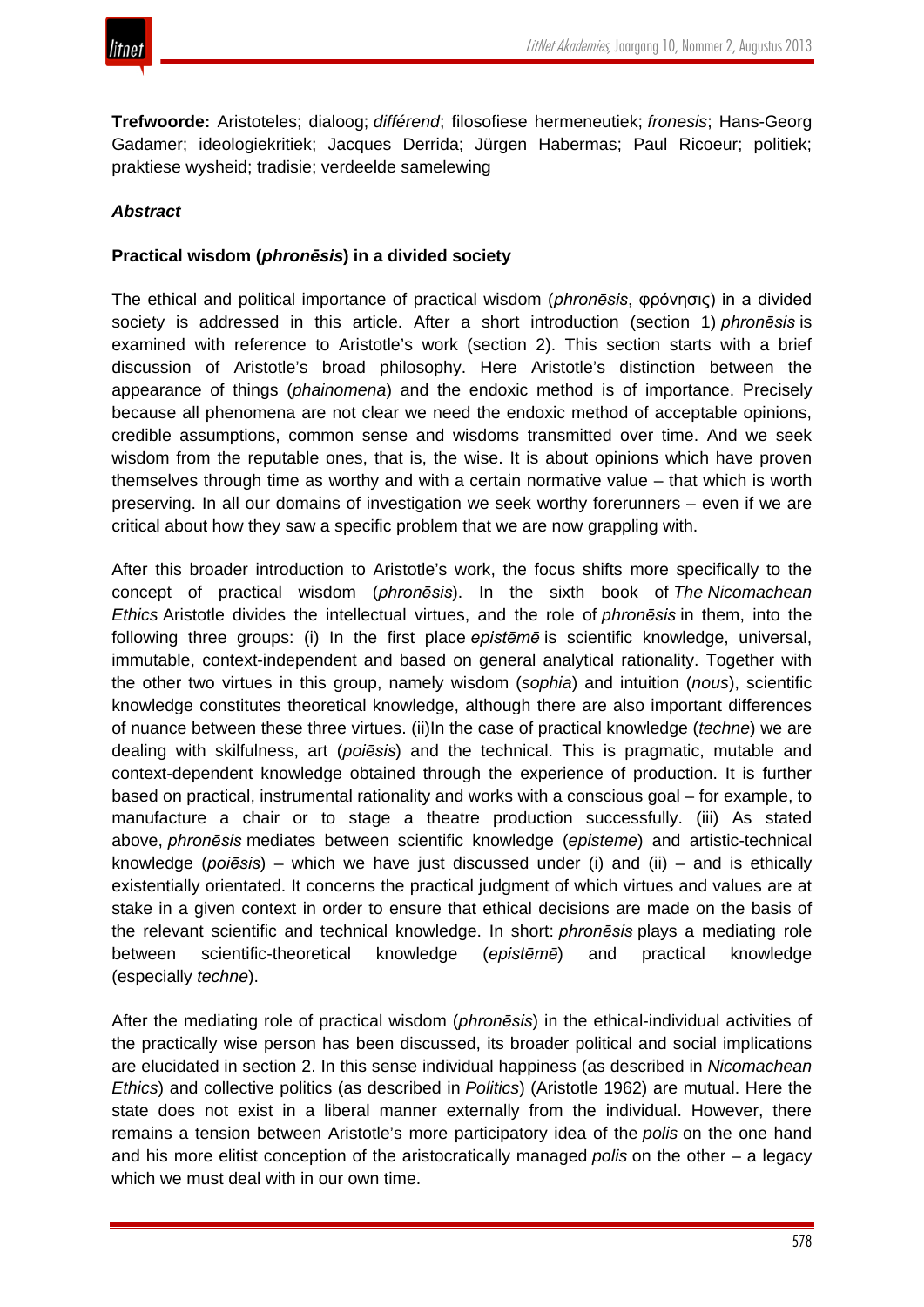**Trefwoorde:** Aristoteles; dialoog; *différend*; filosofiese hermeneutiek; *fronesis*; Hans-Georg Gadamer; ideologiekritiek; Jacques Derrida; Jürgen Habermas; Paul Ricoeur; politiek; praktiese wysheid; tradisie; verdeelde samelewing

# *Abstract*

## **Practical wisdom (***phronēsis***) in a divided society**

The ethical and political importance of practical wisdom (*phronēsis*, φρόνησις) in a divided society is addressed in this article. After a short introduction (section 1) *phronēsis* is examined with reference to Aristotle's work (section 2). This section starts with a brief discussion of Aristotle's broad philosophy. Here Aristotle's distinction between the appearance of things (*phainomena*) and the endoxic method is of importance. Precisely because all phenomena are not clear we need the endoxic method of acceptable opinions, credible assumptions, common sense and wisdoms transmitted over time. And we seek wisdom from the reputable ones, that is, the wise. It is about opinions which have proven themselves through time as worthy and with a certain normative value – that which is worth preserving. In all our domains of investigation we seek worthy forerunners – even if we are critical about how they saw a specific problem that we are now grappling with.

After this broader introduction to Aristotle's work, the focus shifts more specifically to the concept of practical wisdom (*phronēsis*). In the sixth book of *The Nicomachean Ethics* Aristotle divides the intellectual virtues, and the role of *phronēsis* in them, into the following three groups: (i) In the first place *epistēmē* is scientific knowledge, universal, immutable, context-independent and based on general analytical rationality. Together with the other two virtues in this group, namely wisdom (*sophia*) and intuition (*nous*), scientific knowledge constitutes theoretical knowledge, although there are also important differences of nuance between these three virtues. (ii)In the case of practical knowledge (*techne*) we are dealing with skilfulness, art (*poiēsis*) and the technical. This is pragmatic, mutable and context-dependent knowledge obtained through the experience of production. It is further based on practical, instrumental rationality and works with a conscious goal – for example, to manufacture a chair or to stage a theatre production successfully. (iii) As stated above, *phronēsis* mediates between scientific knowledge (*episteme*) and artistic-technical knowledge (*poiēsis*) – which we have just discussed under (i) and (ii) – and is ethically existentially orientated. It concerns the practical judgment of which virtues and values are at stake in a given context in order to ensure that ethical decisions are made on the basis of the relevant scientific and technical knowledge. In short: *phronēsis* plays a mediating role between scientific-theoretical knowledge (*epistēmē*) and practical knowledge (especially *techne*).

After the mediating role of practical wisdom (*phronēsis*) in the ethical-individual activities of the practically wise person has been discussed, its broader political and social implications are elucidated in section 2. In this sense individual happiness (as described in *Nicomachean Ethics*) and collective politics (as described in *Politics*) (Aristotle 1962) are mutual. Here the state does not exist in a liberal manner externally from the individual. However, there remains a tension between Aristotle's more participatory idea of the *polis* on the one hand and his more elitist conception of the aristocratically managed *polis* on the other – a legacy which we must deal with in our own time.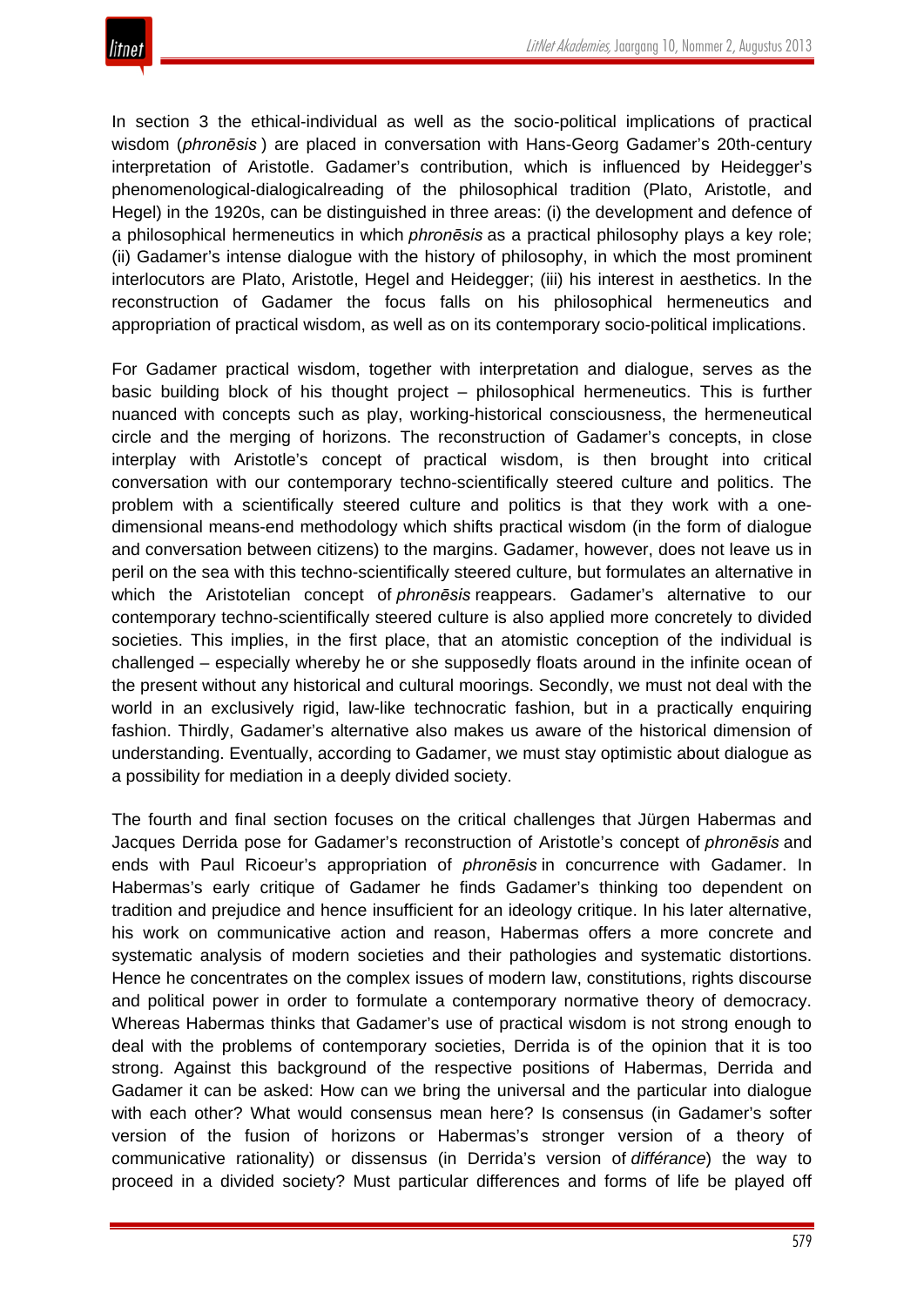In section 3 the ethical-individual as well as the socio-political implications of practical wisdom (*phronēsis* ) are placed in conversation with Hans-Georg Gadamer's 20th-century interpretation of Aristotle. Gadamer's contribution, which is influenced by Heidegger's phenomenological-dialogicalreading of the philosophical tradition (Plato, Aristotle, and Hegel) in the 1920s, can be distinguished in three areas: (i) the development and defence of a philosophical hermeneutics in which *phronēsis* as a practical philosophy plays a key role; (ii) Gadamer's intense dialogue with the history of philosophy, in which the most prominent interlocutors are Plato, Aristotle, Hegel and Heidegger; (iii) his interest in aesthetics. In the reconstruction of Gadamer the focus falls on his philosophical hermeneutics and appropriation of practical wisdom, as well as on its contemporary socio-political implications.

For Gadamer practical wisdom, together with interpretation and dialogue, serves as the basic building block of his thought project – philosophical hermeneutics. This is further nuanced with concepts such as play, working-historical consciousness, the hermeneutical circle and the merging of horizons. The reconstruction of Gadamer's concepts, in close interplay with Aristotle's concept of practical wisdom, is then brought into critical conversation with our contemporary techno-scientifically steered culture and politics. The problem with a scientifically steered culture and politics is that they work with a onedimensional means-end methodology which shifts practical wisdom (in the form of dialogue and conversation between citizens) to the margins. Gadamer, however, does not leave us in peril on the sea with this techno-scientifically steered culture, but formulates an alternative in which the Aristotelian concept of *phronēsis* reappears. Gadamer's alternative to our contemporary techno-scientifically steered culture is also applied more concretely to divided societies. This implies, in the first place, that an atomistic conception of the individual is challenged – especially whereby he or she supposedly floats around in the infinite ocean of the present without any historical and cultural moorings. Secondly, we must not deal with the world in an exclusively rigid, law-like technocratic fashion, but in a practically enquiring fashion. Thirdly, Gadamer's alternative also makes us aware of the historical dimension of understanding. Eventually, according to Gadamer, we must stay optimistic about dialogue as a possibility for mediation in a deeply divided society.

The fourth and final section focuses on the critical challenges that Jürgen Habermas and Jacques Derrida pose for Gadamer's reconstruction of Aristotle's concept of *phronēsis* and ends with Paul Ricoeur's appropriation of *phronēsis* in concurrence with Gadamer. In Habermas's early critique of Gadamer he finds Gadamer's thinking too dependent on tradition and prejudice and hence insufficient for an ideology critique. In his later alternative, his work on communicative action and reason, Habermas offers a more concrete and systematic analysis of modern societies and their pathologies and systematic distortions. Hence he concentrates on the complex issues of modern law, constitutions, rights discourse and political power in order to formulate a contemporary normative theory of democracy. Whereas Habermas thinks that Gadamer's use of practical wisdom is not strong enough to deal with the problems of contemporary societies, Derrida is of the opinion that it is too strong. Against this background of the respective positions of Habermas, Derrida and Gadamer it can be asked: How can we bring the universal and the particular into dialogue with each other? What would consensus mean here? Is consensus (in Gadamer's softer version of the fusion of horizons or Habermas's stronger version of a theory of communicative rationality) or dissensus (in Derrida's version of *différance*) the way to proceed in a divided society? Must particular differences and forms of life be played off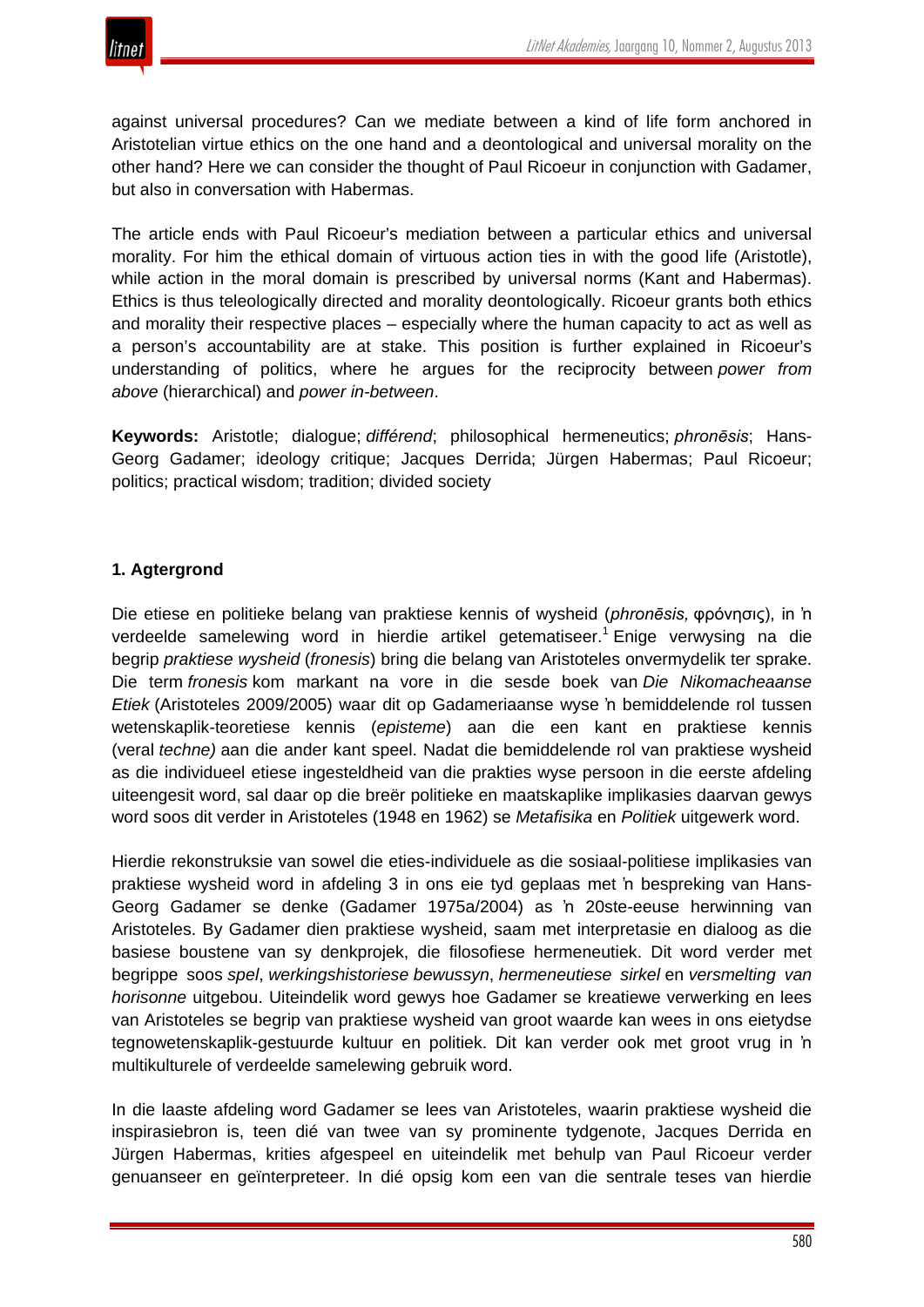



against universal procedures? Can we mediate between a kind of life form anchored in Aristotelian virtue ethics on the one hand and a deontological and universal morality on the other hand? Here we can consider the thought of Paul Ricoeur in conjunction with Gadamer, but also in conversation with Habermas.

The article ends with Paul Ricoeur's mediation between a particular ethics and universal morality. For him the ethical domain of virtuous action ties in with the good life (Aristotle), while action in the moral domain is prescribed by universal norms (Kant and Habermas). Ethics is thus teleologically directed and morality deontologically. Ricoeur grants both ethics and morality their respective places – especially where the human capacity to act as well as a person's accountability are at stake. This position is further explained in Ricoeur's understanding of politics, where he argues for the reciprocity between *power from above* (hierarchical) and *power in-between*.

**Keywords:** Aristotle; dialogue; *différend*; philosophical hermeneutics; *phronēsis*; Hans-Georg Gadamer; ideology critique; Jacques Derrida; Jürgen Habermas; Paul Ricoeur; politics; practical wisdom; tradition; divided society

## **1. Agtergrond**

Die etiese en politieke belang van praktiese kennis of wysheid (*phronēsis,* φρόνησις), in 'n verdeelde samelewing word in hierdie artikel getematiseer.<sup>1</sup> Enige verwysing na die begrip *praktiese wysheid* (*fronesis*) bring die belang van Aristoteles onvermydelik ter sprake. Die term *fronesis* kom markant na vore in die sesde boek van *Die Nikomacheaanse Etiek* (Aristoteles 2009/2005) waar dit op Gadameriaanse wyse 'n bemiddelende rol tussen wetenskaplik-teoretiese kennis (*episteme*) aan die een kant en praktiese kennis (veral *techne)* aan die ander kant speel. Nadat die bemiddelende rol van praktiese wysheid as die individueel etiese ingesteldheid van die prakties wyse persoon in die eerste afdeling uiteengesit word, sal daar op die breër politieke en maatskaplike implikasies daarvan gewys word soos dit verder in Aristoteles (1948 en 1962) se *Metafisika* en *Politiek* uitgewerk word.

Hierdie rekonstruksie van sowel die eties-individuele as die sosiaal-politiese implikasies van praktiese wysheid word in afdeling 3 in ons eie tyd geplaas met 'n bespreking van Hans-Georg Gadamer se denke (Gadamer 1975a/2004) as 'n 20ste-eeuse herwinning van Aristoteles. By Gadamer dien praktiese wysheid, saam met interpretasie en dialoog as die basiese boustene van sy denkprojek, die filosofiese hermeneutiek. Dit word verder met begrippe soos *spel*, *werkingshistoriese bewussyn*, *hermeneutiese sirkel* en *versmelting van horisonne* uitgebou. Uiteindelik word gewys hoe Gadamer se kreatiewe verwerking en lees van Aristoteles se begrip van praktiese wysheid van groot waarde kan wees in ons eietydse tegnowetenskaplik-gestuurde kultuur en politiek. Dit kan verder ook met groot vrug in 'n multikulturele of verdeelde samelewing gebruik word.

In die laaste afdeling word Gadamer se lees van Aristoteles, waarin praktiese wysheid die inspirasiebron is, teen dié van twee van sy prominente tydgenote, Jacques Derrida en Jürgen Habermas, krities afgespeel en uiteindelik met behulp van Paul Ricoeur verder genuanseer en geïnterpreteer. In dié opsig kom een van die sentrale teses van hierdie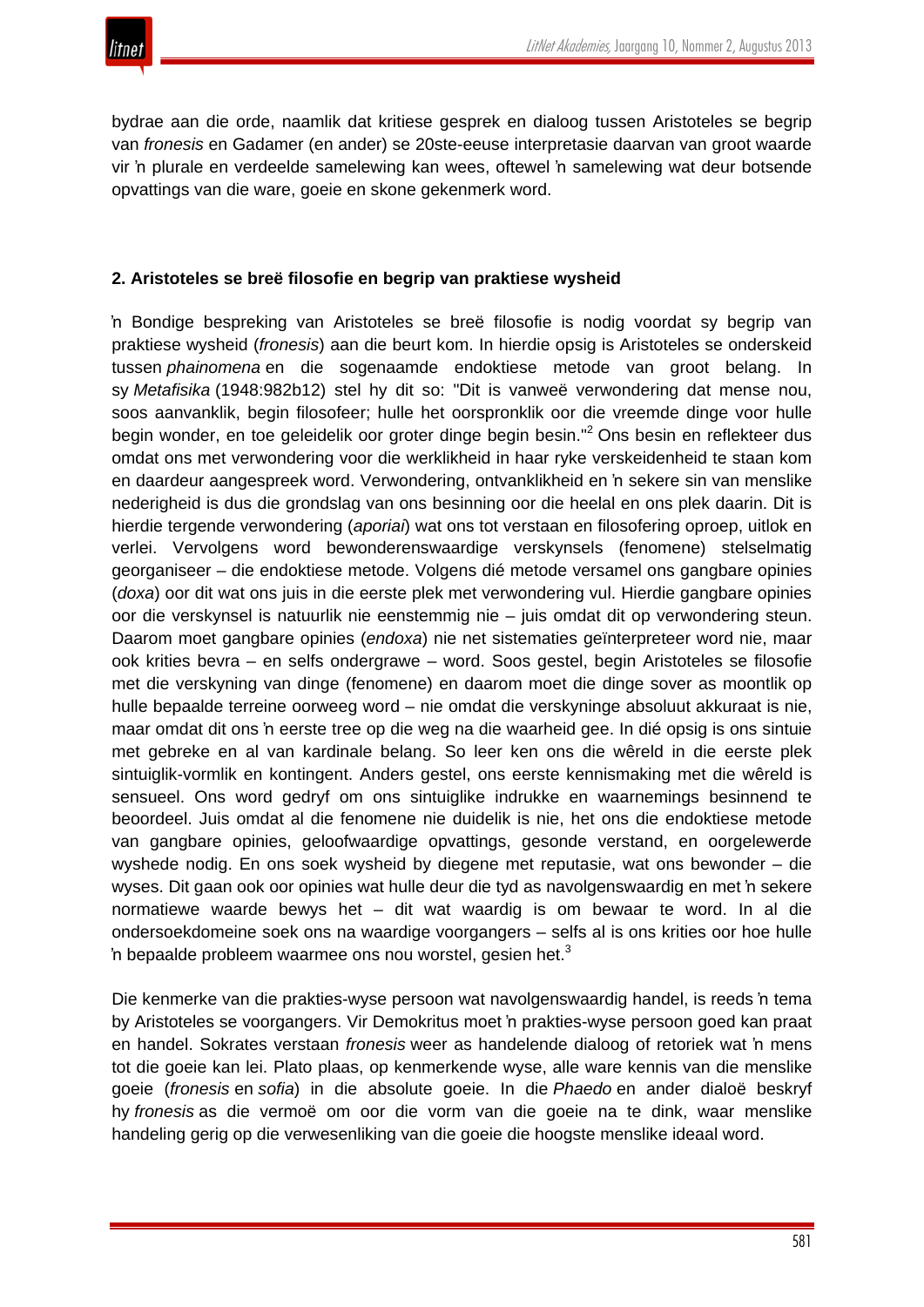

bydrae aan die orde, naamlik dat kritiese gesprek en dialoog tussen Aristoteles se begrip van *fronesis* en Gadamer (en ander) se 20ste-eeuse interpretasie daarvan van groot waarde vir 'n plurale en verdeelde samelewing kan wees, oftewel 'n samelewing wat deur botsende opvattings van die ware, goeie en skone gekenmerk word.

#### **2. Aristoteles se breë filosofie en begrip van praktiese wysheid**

'n Bondige bespreking van Aristoteles se breë filosofie is nodig voordat sy begrip van praktiese wysheid (*fronesis*) aan die beurt kom. In hierdie opsig is Aristoteles se onderskeid tussen *phainomena* en die sogenaamde endoktiese metode van groot belang. In sy *Metafisika* (1948:982b12) stel hy dit so: "Dit is vanweë verwondering dat mense nou, soos aanvanklik, begin filosofeer; hulle het oorspronklik oor die vreemde dinge voor hulle begin wonder, en toe geleidelik oor groter dinge begin besin." <sup>2</sup> Ons besin en reflekteer dus omdat ons met verwondering voor die werklikheid in haar ryke verskeidenheid te staan kom en daardeur aangespreek word. Verwondering, ontvanklikheid en 'n sekere sin van menslike nederigheid is dus die grondslag van ons besinning oor die heelal en ons plek daarin. Dit is hierdie tergende verwondering (*aporiai*) wat ons tot verstaan en filosofering oproep, uitlok en verlei. Vervolgens word bewonderenswaardige verskynsels (fenomene) stelselmatig georganiseer – die endoktiese metode. Volgens dié metode versamel ons gangbare opinies (*doxa*) oor dit wat ons juis in die eerste plek met verwondering vul. Hierdie gangbare opinies oor die verskynsel is natuurlik nie eenstemmig nie – juis omdat dit op verwondering steun. Daarom moet gangbare opinies (*endoxa*) nie net sistematies geïnterpreteer word nie, maar ook krities bevra – en selfs ondergrawe – word. Soos gestel, begin Aristoteles se filosofie met die verskyning van dinge (fenomene) en daarom moet die dinge sover as moontlik op hulle bepaalde terreine oorweeg word – nie omdat die verskyninge absoluut akkuraat is nie, maar omdat dit ons 'n eerste tree op die weg na die waarheid gee. In dié opsig is ons sintuie met gebreke en al van kardinale belang. So leer ken ons die wêreld in die eerste plek sintuiglik-vormlik en kontingent. Anders gestel, ons eerste kennismaking met die wêreld is sensueel. Ons word gedryf om ons sintuiglike indrukke en waarnemings besinnend te beoordeel. Juis omdat al die fenomene nie duidelik is nie, het ons die endoktiese metode van gangbare opinies, geloofwaardige opvattings, gesonde verstand, en oorgelewerde wyshede nodig. En ons soek wysheid by diegene met reputasie, wat ons bewonder – die wyses. Dit gaan ook oor opinies wat hulle deur die tyd as navolgenswaardig en met 'n sekere normatiewe waarde bewys het – dit wat waardig is om bewaar te word. In al die ondersoekdomeine soek ons na waardige voorgangers – selfs al is ons krities oor hoe hulle 'n bepaalde probleem waarmee ons nou worstel, gesien het. $3$ 

Die kenmerke van die prakties-wyse persoon wat navolgenswaardig handel, is reeds 'n tema by Aristoteles se voorgangers. Vir Demokritus moet 'n prakties-wyse persoon goed kan praat en handel. Sokrates verstaan *fronesis* weer as handelende dialoog of retoriek wat 'n mens tot die goeie kan lei. Plato plaas, op kenmerkende wyse, alle ware kennis van die menslike goeie (*fronesis* en *sofia*) in die absolute goeie. In die *Phaedo* en ander dialoë beskryf hy *fronesis* as die vermoë om oor die vorm van die goeie na te dink, waar menslike handeling gerig op die verwesenliking van die goeie die hoogste menslike ideaal word.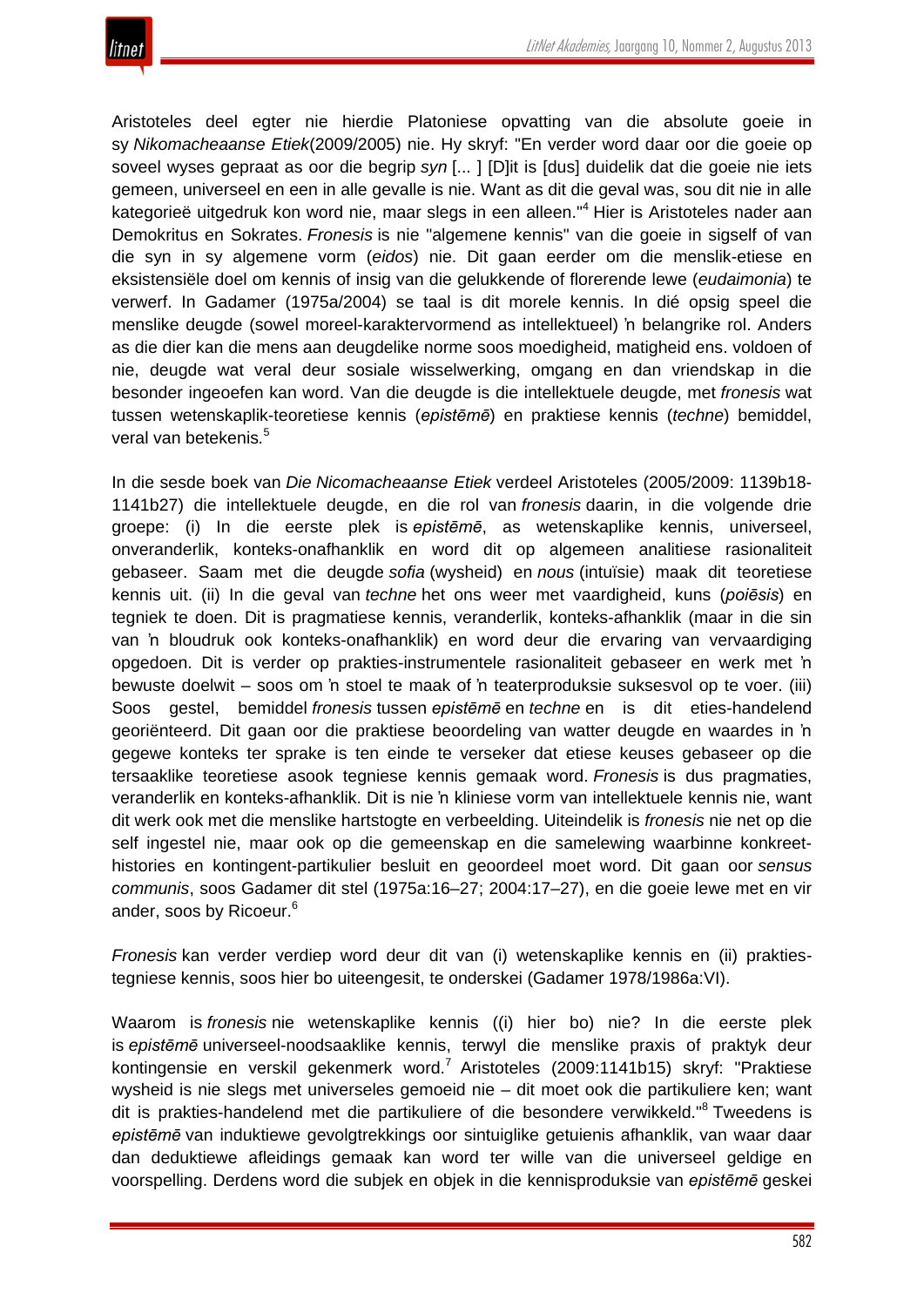

Aristoteles deel egter nie hierdie Platoniese opvatting van die absolute goeie in sy *Nikomacheaanse Etiek*(2009/2005) nie. Hy skryf: "En verder word daar oor die goeie op soveel wyses gepraat as oor die begrip *syn* [... ] [D]it is [dus] duidelik dat die goeie nie iets gemeen, universeel en een in alle gevalle is nie. Want as dit die geval was, sou dit nie in alle kategorieë uitgedruk kon word nie, maar slegs in een alleen."<sup>4</sup> Hier is Aristoteles nader aan Demokritus en Sokrates. *Fronesis* is nie "algemene kennis" van die goeie in sigself of van die syn in sy algemene vorm (*eidos*) nie. Dit gaan eerder om die menslik-etiese en eksistensiële doel om kennis of insig van die gelukkende of florerende lewe (*eudaimonia*) te verwerf. In Gadamer (1975a/2004) se taal is dit morele kennis. In dié opsig speel die menslike deugde (sowel moreel-karaktervormend as intellektueel) 'n belangrike rol. Anders as die dier kan die mens aan deugdelike norme soos moedigheid, matigheid ens. voldoen of nie, deugde wat veral deur sosiale wisselwerking, omgang en dan vriendskap in die besonder ingeoefen kan word. Van die deugde is die intellektuele deugde, met *fronesis* wat tussen wetenskaplik-teoretiese kennis (*epistēmē*) en praktiese kennis (*techne*) bemiddel, veral van betekenis*.* 5

In die sesde boek van *Die Nicomacheaanse Etiek* verdeel Aristoteles (2005/2009: 1139b18- 1141b27) die intellektuele deugde, en die rol van *fronesis* daarin, in die volgende drie groepe: (i) In die eerste plek is *epistēmē*, as wetenskaplike kennis, universeel, onveranderlik, konteks-onafhanklik en word dit op algemeen analitiese rasionaliteit gebaseer. Saam met die deugde *sofia* (wysheid) en *nous* (intuïsie) maak dit teoretiese kennis uit. (ii) In die geval van *techne* het ons weer met vaardigheid, kuns (*poiēsis*) en tegniek te doen. Dit is pragmatiese kennis, veranderlik, konteks-afhanklik (maar in die sin van 'n bloudruk ook konteks-onafhanklik) en word deur die ervaring van vervaardiging opgedoen. Dit is verder op prakties-instrumentele rasionaliteit gebaseer en werk met 'n bewuste doelwit – soos om 'n stoel te maak of 'n teaterproduksie suksesvol op te voer. (iii) Soos gestel, bemiddel *fronesis* tussen *epistēmē* en *techne* en is dit eties-handelend georiënteerd. Dit gaan oor die praktiese beoordeling van watter deugde en waardes in 'n gegewe konteks ter sprake is ten einde te verseker dat etiese keuses gebaseer op die tersaaklike teoretiese asook tegniese kennis gemaak word. *Fronesis* is dus pragmaties, veranderlik en konteks-afhanklik. Dit is nie 'n kliniese vorm van intellektuele kennis nie, want dit werk ook met die menslike hartstogte en verbeelding. Uiteindelik is *fronesis* nie net op die self ingestel nie, maar ook op die gemeenskap en die samelewing waarbinne konkreethistories en kontingent-partikulier besluit en geoordeel moet word. Dit gaan oor *sensus communis*, soos Gadamer dit stel (1975a:16–27; 2004:17–27), en die goeie lewe met en vir ander, soos by Ricoeur.<sup>6</sup>

*Fronesis* kan verder verdiep word deur dit van (i) wetenskaplike kennis en (ii) praktiestegniese kennis, soos hier bo uiteengesit, te onderskei (Gadamer 1978/1986a:VI).

Waarom is *fronesis* nie wetenskaplike kennis ((i) hier bo) nie? In die eerste plek is *epistēmē* universeel-noodsaaklike kennis, terwyl die menslike praxis of praktyk deur kontingensie en verskil gekenmerk word.<sup>7</sup> Aristoteles (2009:1141b15) skryf: "Praktiese wysheid is nie slegs met universeles gemoeid nie – dit moet ook die partikuliere ken; want dit is prakties-handelend met die partikuliere of die besondere verwikkeld."<sup>8</sup> Tweedens is *epistēmē* van induktiewe gevolgtrekkings oor sintuiglike getuienis afhanklik, van waar daar dan deduktiewe afleidings gemaak kan word ter wille van die universeel geldige en voorspelling. Derdens word die subjek en objek in die kennisproduksie van *epistēmē* geskei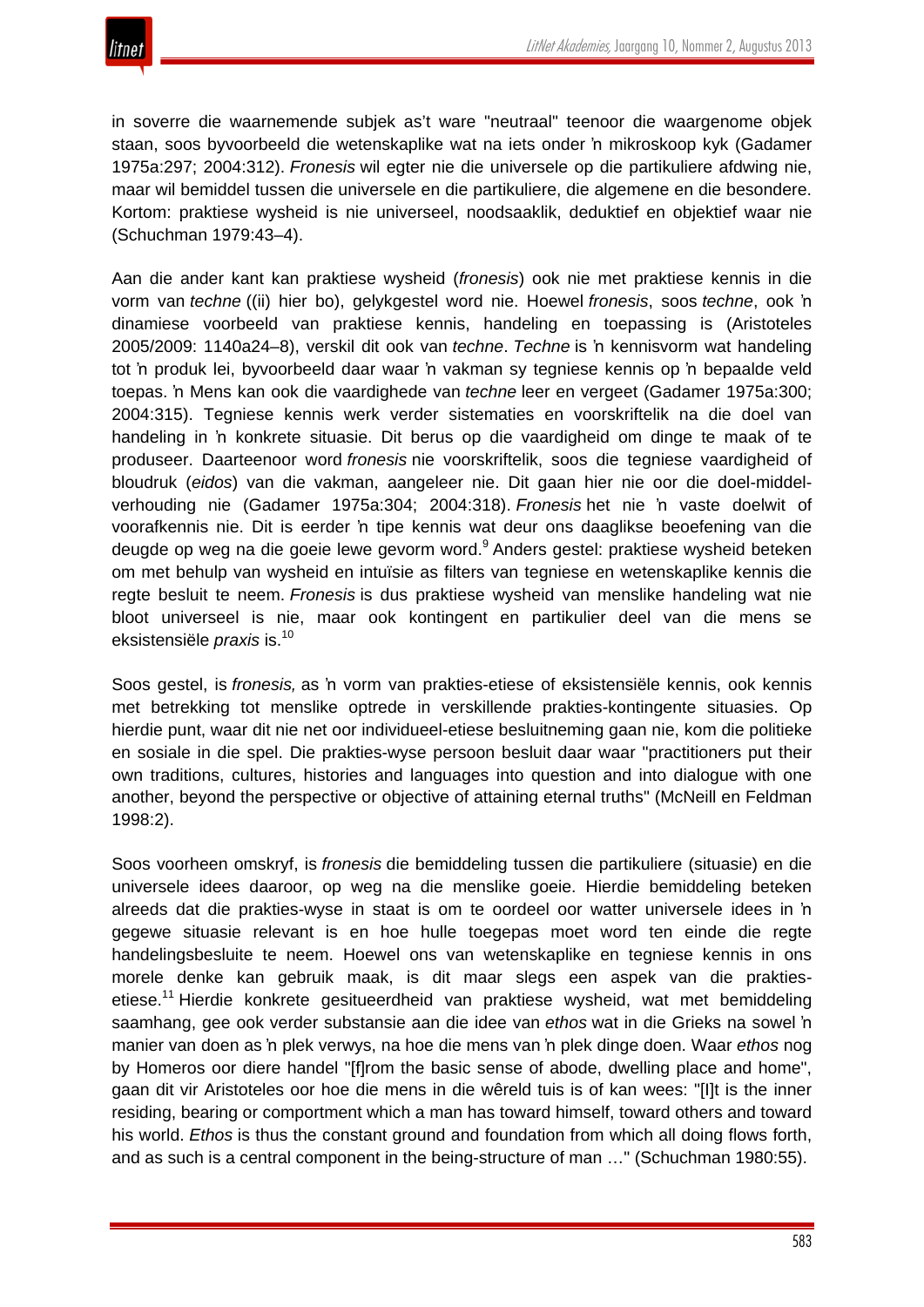in soverre die waarnemende subjek as't ware "neutraal" teenoor die waargenome objek staan, soos byvoorbeeld die wetenskaplike wat na iets onder 'n mikroskoop kyk (Gadamer 1975a:297; 2004:312). *Fronesis* wil egter nie die universele op die partikuliere afdwing nie, maar wil bemiddel tussen die universele en die partikuliere, die algemene en die besondere. Kortom: praktiese wysheid is nie universeel, noodsaaklik, deduktief en objektief waar nie (Schuchman 1979:43–4).

Aan die ander kant kan praktiese wysheid (*fronesis*) ook nie met praktiese kennis in die vorm van *techne* ((ii) hier bo), gelykgestel word nie. Hoewel *fronesis*, soos *techne*, ook 'n dinamiese voorbeeld van praktiese kennis, handeling en toepassing is (Aristoteles 2005/2009: 1140a24–8), verskil dit ook van *techne*. *Techne* is 'n kennisvorm wat handeling tot 'n produk lei, byvoorbeeld daar waar 'n vakman sy tegniese kennis op 'n bepaalde veld toepas. 'n Mens kan ook die vaardighede van *techne* leer en vergeet (Gadamer 1975a:300; 2004:315). Tegniese kennis werk verder sistematies en voorskriftelik na die doel van handeling in 'n konkrete situasie. Dit berus op die vaardigheid om dinge te maak of te produseer. Daarteenoor word *fronesis* nie voorskriftelik, soos die tegniese vaardigheid of bloudruk (*eidos*) van die vakman, aangeleer nie. Dit gaan hier nie oor die doel-middelverhouding nie (Gadamer 1975a:304; 2004:318). *Fronesis* het nie 'n vaste doelwit of voorafkennis nie. Dit is eerder 'n tipe kennis wat deur ons daaglikse beoefening van die deugde op weg na die goeie lewe gevorm word.<sup>9</sup> Anders gestel: praktiese wysheid beteken om met behulp van wysheid en intuïsie as filters van tegniese en wetenskaplike kennis die regte besluit te neem. *Fronesis* is dus praktiese wysheid van menslike handeling wat nie bloot universeel is nie, maar ook kontingent en partikulier deel van die mens se eksistensiële *praxis* is.10

Soos gestel, is *fronesis,* as 'n vorm van prakties-etiese of eksistensiële kennis, ook kennis met betrekking tot menslike optrede in verskillende prakties-kontingente situasies. Op hierdie punt, waar dit nie net oor individueel-etiese besluitneming gaan nie, kom die politieke en sosiale in die spel. Die prakties-wyse persoon besluit daar waar "practitioners put their own traditions, cultures, histories and languages into question and into dialogue with one another, beyond the perspective or objective of attaining eternal truths" (McNeill en Feldman 1998:2).

Soos voorheen omskryf, is *fronesis* die bemiddeling tussen die partikuliere (situasie) en die universele idees daaroor, op weg na die menslike goeie. Hierdie bemiddeling beteken alreeds dat die prakties-wyse in staat is om te oordeel oor watter universele idees in 'n gegewe situasie relevant is en hoe hulle toegepas moet word ten einde die regte handelingsbesluite te neem. Hoewel ons van wetenskaplike en tegniese kennis in ons morele denke kan gebruik maak, is dit maar slegs een aspek van die praktiesetiese.<sup>11</sup> Hierdie konkrete gesitueerdheid van praktiese wysheid, wat met bemiddeling saamhang, gee ook verder substansie aan die idee van *ethos* wat in die Grieks na sowel 'n manier van doen as 'n plek verwys, na hoe die mens van 'n plek dinge doen. Waar *ethos* nog by Homeros oor diere handel "[f]rom the basic sense of abode, dwelling place and home", gaan dit vir Aristoteles oor hoe die mens in die wêreld tuis is of kan wees: "[I]t is the inner residing, bearing or comportment which a man has toward himself, toward others and toward his world. *Ethos* is thus the constant ground and foundation from which all doing flows forth, and as such is a central component in the being-structure of man …" (Schuchman 1980:55).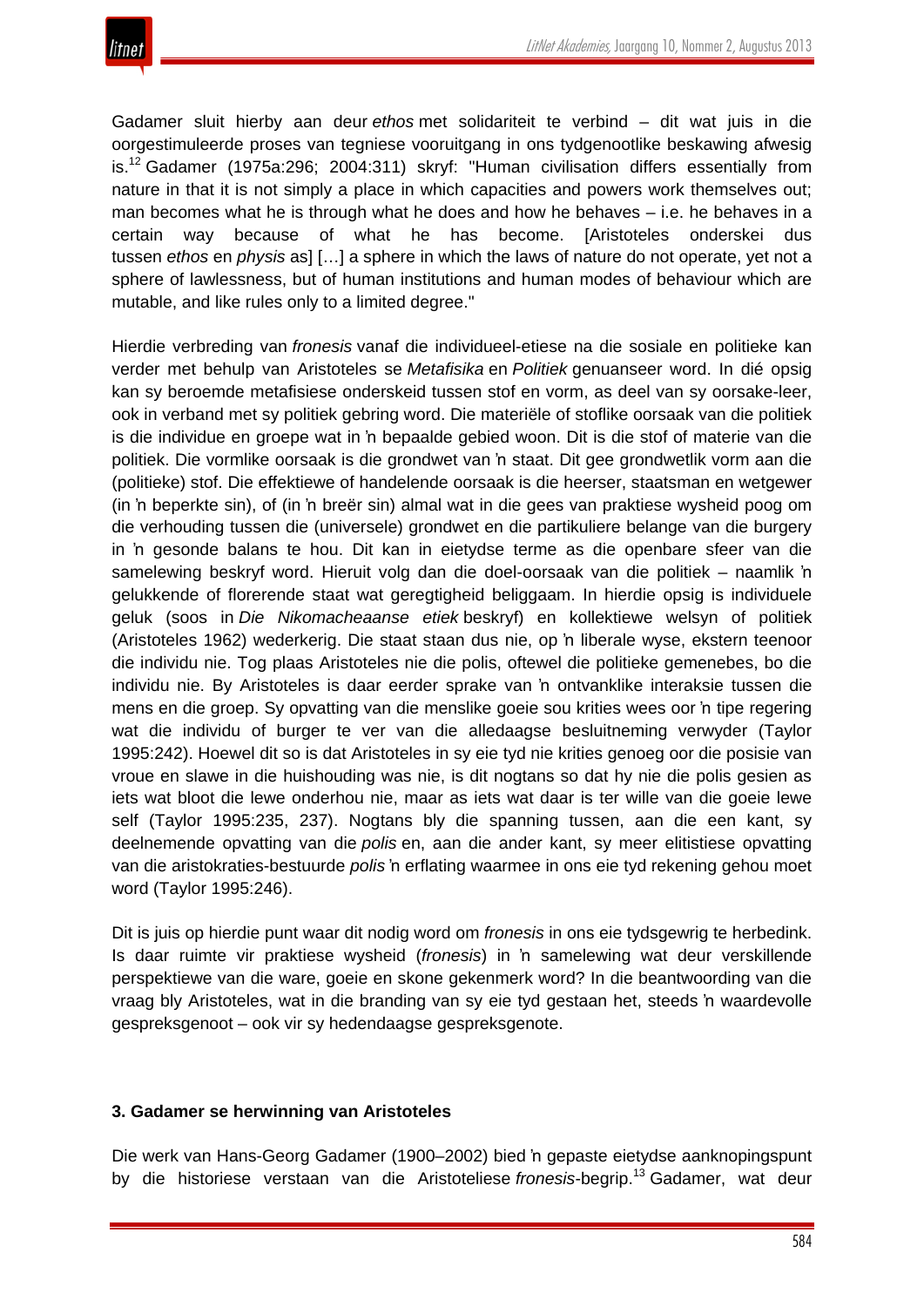Gadamer sluit hierby aan deur *ethos* met solidariteit te verbind – dit wat juis in die oorgestimuleerde proses van tegniese vooruitgang in ons tydgenootlike beskawing afwesig is.<sup>12</sup> Gadamer (1975a:296; 2004:311) skryf: "Human civilisation differs essentially from nature in that it is not simply a place in which capacities and powers work themselves out; man becomes what he is through what he does and how he behaves – i.e. he behaves in a certain way because of what he has become. [Aristoteles onderskei dus tussen *ethos* en *physis* as] […] a sphere in which the laws of nature do not operate, yet not a sphere of lawlessness, but of human institutions and human modes of behaviour which are mutable, and like rules only to a limited degree."

Hierdie verbreding van *fronesis* vanaf die individueel-etiese na die sosiale en politieke kan verder met behulp van Aristoteles se *Metafisika* en *Politiek* genuanseer word. In dié opsig kan sy beroemde metafisiese onderskeid tussen stof en vorm, as deel van sy oorsake-leer, ook in verband met sy politiek gebring word. Die materiële of stoflike oorsaak van die politiek is die individue en groepe wat in 'n bepaalde gebied woon. Dit is die stof of materie van die politiek. Die vormlike oorsaak is die grondwet van 'n staat. Dit gee grondwetlik vorm aan die (politieke) stof. Die effektiewe of handelende oorsaak is die heerser, staatsman en wetgewer (in 'n beperkte sin), of (in 'n breër sin) almal wat in die gees van praktiese wysheid poog om die verhouding tussen die (universele) grondwet en die partikuliere belange van die burgery in 'n gesonde balans te hou. Dit kan in eietydse terme as die openbare sfeer van die samelewing beskryf word. Hieruit volg dan die doel-oorsaak van die politiek – naamlik 'n gelukkende of florerende staat wat geregtigheid beliggaam. In hierdie opsig is individuele geluk (soos in *Die Nikomacheaanse etiek* beskryf) en kollektiewe welsyn of politiek (Aristoteles 1962) wederkerig. Die staat staan dus nie, op 'n liberale wyse, ekstern teenoor die individu nie. Tog plaas Aristoteles nie die polis, oftewel die politieke gemenebes, bo die individu nie. By Aristoteles is daar eerder sprake van 'n ontvanklike interaksie tussen die mens en die groep. Sy opvatting van die menslike goeie sou krities wees oor 'n tipe regering wat die individu of burger te ver van die alledaagse besluitneming verwyder (Taylor 1995:242). Hoewel dit so is dat Aristoteles in sy eie tyd nie krities genoeg oor die posisie van vroue en slawe in die huishouding was nie, is dit nogtans so dat hy nie die polis gesien as iets wat bloot die lewe onderhou nie, maar as iets wat daar is ter wille van die goeie lewe self (Taylor 1995:235, 237). Nogtans bly die spanning tussen, aan die een kant, sy deelnemende opvatting van die *polis* en, aan die ander kant, sy meer elitistiese opvatting van die aristokraties-bestuurde *polis* 'n erflating waarmee in ons eie tyd rekening gehou moet word (Taylor 1995:246).

Dit is juis op hierdie punt waar dit nodig word om *fronesis* in ons eie tydsgewrig te herbedink. Is daar ruimte vir praktiese wysheid (*fronesis*) in 'n samelewing wat deur verskillende perspektiewe van die ware, goeie en skone gekenmerk word? In die beantwoording van die vraag bly Aristoteles, wat in die branding van sy eie tyd gestaan het, steeds 'n waardevolle gespreksgenoot – ook vir sy hedendaagse gespreksgenote.

# **3. Gadamer se herwinning van Aristoteles**

Die werk van Hans-Georg Gadamer (1900–2002) bied 'n gepaste eietydse aanknopingspunt by die historiese verstaan van die Aristoteliese *fronesis*-begrip.<sup>13</sup> Gadamer, wat deur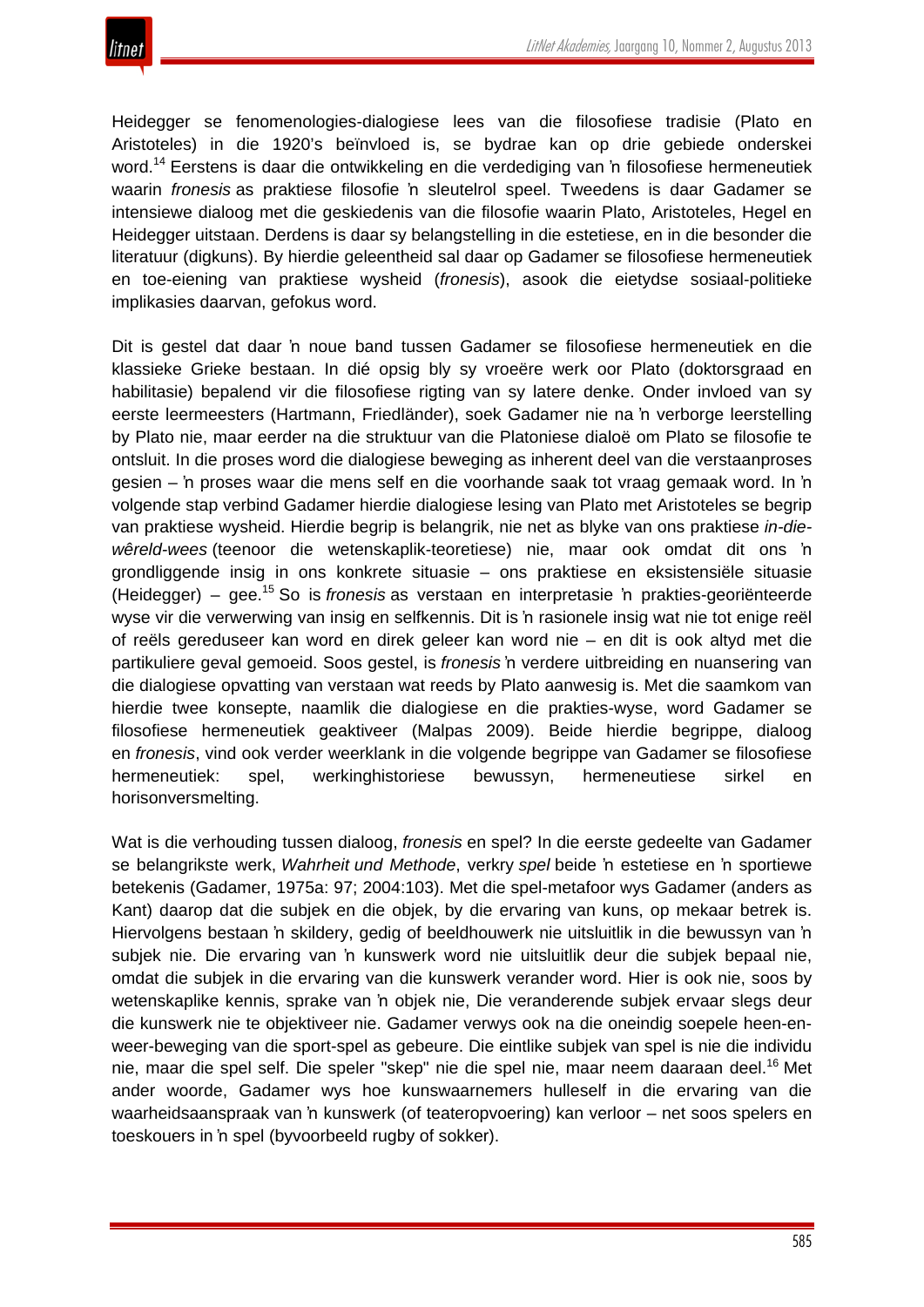

Heidegger se fenomenologies-dialogiese lees van die filosofiese tradisie (Plato en Aristoteles) in die 1920's beïnvloed is, se bydrae kan op drie gebiede onderskei word.<sup>14</sup> Eerstens is daar die ontwikkeling en die verdediging van 'n filosofiese hermeneutiek waarin *fronesis* as praktiese filosofie 'n sleutelrol speel. Tweedens is daar Gadamer se intensiewe dialoog met die geskiedenis van die filosofie waarin Plato, Aristoteles, Hegel en Heidegger uitstaan. Derdens is daar sy belangstelling in die estetiese, en in die besonder die literatuur (digkuns). By hierdie geleentheid sal daar op Gadamer se filosofiese hermeneutiek en toe-eiening van praktiese wysheid (*fronesis*), asook die eietydse sosiaal-politieke implikasies daarvan, gefokus word.

Dit is gestel dat daar 'n noue band tussen Gadamer se filosofiese hermeneutiek en die klassieke Grieke bestaan. In dié opsig bly sy vroeëre werk oor Plato (doktorsgraad en habilitasie) bepalend vir die filosofiese rigting van sy latere denke. Onder invloed van sy eerste leermeesters (Hartmann, Friedländer), soek Gadamer nie na 'n verborge leerstelling by Plato nie, maar eerder na die struktuur van die Platoniese dialoë om Plato se filosofie te ontsluit. In die proses word die dialogiese beweging as inherent deel van die verstaanproses gesien – 'n proses waar die mens self en die voorhande saak tot vraag gemaak word. In 'n volgende stap verbind Gadamer hierdie dialogiese lesing van Plato met Aristoteles se begrip van praktiese wysheid. Hierdie begrip is belangrik, nie net as blyke van ons praktiese *in-diewêreld-wees* (teenoor die wetenskaplik-teoretiese) nie, maar ook omdat dit ons 'n grondliggende insig in ons konkrete situasie – ons praktiese en eksistensiële situasie (Heidegger) – gee.<sup>15</sup> So is *fronesis* as verstaan en interpretasie 'n prakties-georiënteerde wyse vir die verwerwing van insig en selfkennis. Dit is 'n rasionele insig wat nie tot enige reël of reëls gereduseer kan word en direk geleer kan word nie – en dit is ook altyd met die partikuliere geval gemoeid. Soos gestel, is *fronesis* 'n verdere uitbreiding en nuansering van die dialogiese opvatting van verstaan wat reeds by Plato aanwesig is. Met die saamkom van hierdie twee konsepte, naamlik die dialogiese en die prakties-wyse, word Gadamer se filosofiese hermeneutiek geaktiveer (Malpas 2009). Beide hierdie begrippe, dialoog en *fronesis*, vind ook verder weerklank in die volgende begrippe van Gadamer se filosofiese hermeneutiek: spel, werkinghistoriese bewussyn, hermeneutiese sirkel en horisonversmelting.

Wat is die verhouding tussen dialoog, *fronesis* en spel? In die eerste gedeelte van Gadamer se belangrikste werk, *Wahrheit und Methode*, verkry *spel* beide 'n estetiese en 'n sportiewe betekenis (Gadamer, 1975a: 97; 2004:103). Met die spel-metafoor wys Gadamer (anders as Kant) daarop dat die subjek en die objek, by die ervaring van kuns, op mekaar betrek is. Hiervolgens bestaan 'n skildery, gedig of beeldhouwerk nie uitsluitlik in die bewussyn van 'n subjek nie. Die ervaring van 'n kunswerk word nie uitsluitlik deur die subjek bepaal nie, omdat die subjek in die ervaring van die kunswerk verander word. Hier is ook nie, soos by wetenskaplike kennis, sprake van 'n objek nie, Die veranderende subjek ervaar slegs deur die kunswerk nie te objektiveer nie. Gadamer verwys ook na die oneindig soepele heen-enweer-beweging van die sport-spel as gebeure. Die eintlike subjek van spel is nie die individu nie, maar die spel self. Die speler "skep" nie die spel nie, maar neem daaraan deel.<sup>16</sup> Met ander woorde, Gadamer wys hoe kunswaarnemers hulleself in die ervaring van die waarheidsaanspraak van 'n kunswerk (of teateropvoering) kan verloor – net soos spelers en toeskouers in 'n spel (byvoorbeeld rugby of sokker).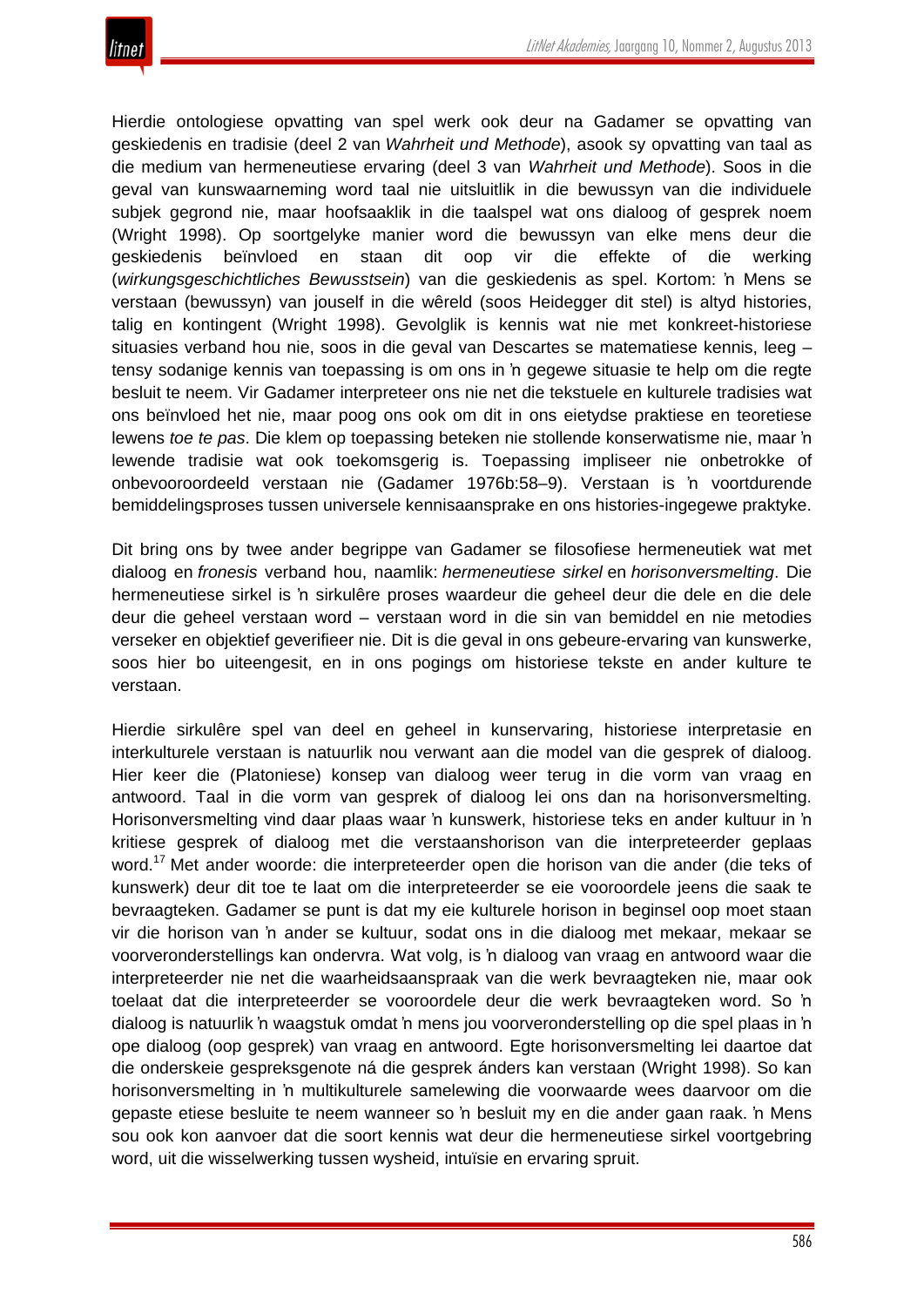

Hierdie ontologiese opvatting van spel werk ook deur na Gadamer se opvatting van geskiedenis en tradisie (deel 2 van *Wahrheit und Methode*), asook sy opvatting van taal as die medium van hermeneutiese ervaring (deel 3 van *Wahrheit und Methode*). Soos in die geval van kunswaarneming word taal nie uitsluitlik in die bewussyn van die individuele subjek gegrond nie, maar hoofsaaklik in die taalspel wat ons dialoog of gesprek noem (Wright 1998). Op soortgelyke manier word die bewussyn van elke mens deur die geskiedenis beïnvloed en staan dit oop vir die effekte of die werking (*wirkungsgeschichtliches Bewusstsein*) van die geskiedenis as spel. Kortom: 'n Mens se verstaan (bewussyn) van jouself in die wêreld (soos Heidegger dit stel) is altyd histories, talig en kontingent (Wright 1998). Gevolglik is kennis wat nie met konkreet-historiese situasies verband hou nie, soos in die geval van Descartes se matematiese kennis, leeg – tensy sodanige kennis van toepassing is om ons in 'n gegewe situasie te help om die regte besluit te neem. Vir Gadamer interpreteer ons nie net die tekstuele en kulturele tradisies wat ons beïnvloed het nie, maar poog ons ook om dit in ons eietydse praktiese en teoretiese lewens *toe te pas*. Die klem op toepassing beteken nie stollende konserwatisme nie, maar 'n lewende tradisie wat ook toekomsgerig is. Toepassing impliseer nie onbetrokke of onbevooroordeeld verstaan nie (Gadamer 1976b:58–9). Verstaan is 'n voortdurende bemiddelingsproses tussen universele kennisaansprake en ons histories-ingegewe praktyke.

Dit bring ons by twee ander begrippe van Gadamer se filosofiese hermeneutiek wat met dialoog en *fronesis* verband hou, naamlik: *hermeneutiese sirkel* en *horisonversmelting*. Die hermeneutiese sirkel is 'n sirkulêre proses waardeur die geheel deur die dele en die dele deur die geheel verstaan word – verstaan word in die sin van bemiddel en nie metodies verseker en objektief geverifieer nie. Dit is die geval in ons gebeure-ervaring van kunswerke, soos hier bo uiteengesit, en in ons pogings om historiese tekste en ander kulture te verstaan.

Hierdie sirkulêre spel van deel en geheel in kunservaring, historiese interpretasie en interkulturele verstaan is natuurlik nou verwant aan die model van die gesprek of dialoog. Hier keer die (Platoniese) konsep van dialoog weer terug in die vorm van vraag en antwoord. Taal in die vorm van gesprek of dialoog lei ons dan na horisonversmelting. Horisonversmelting vind daar plaas waar 'n kunswerk, historiese teks en ander kultuur in 'n kritiese gesprek of dialoog met die verstaanshorison van die interpreteerder geplaas word.<sup>17</sup> Met ander woorde: die interpreteerder open die horison van die ander (die teks of kunswerk) deur dit toe te laat om die interpreteerder se eie vooroordele jeens die saak te bevraagteken. Gadamer se punt is dat my eie kulturele horison in beginsel oop moet staan vir die horison van 'n ander se kultuur, sodat ons in die dialoog met mekaar, mekaar se voorveronderstellings kan ondervra. Wat volg, is 'n dialoog van vraag en antwoord waar die interpreteerder nie net die waarheidsaanspraak van die werk bevraagteken nie, maar ook toelaat dat die interpreteerder se vooroordele deur die werk bevraagteken word. So 'n dialoog is natuurlik 'n waagstuk omdat 'n mens jou voorveronderstelling op die spel plaas in 'n ope dialoog (oop gesprek) van vraag en antwoord. Egte horisonversmelting lei daartoe dat die onderskeie gespreksgenote ná die gesprek ánders kan verstaan (Wright 1998). So kan horisonversmelting in 'n multikulturele samelewing die voorwaarde wees daarvoor om die gepaste etiese besluite te neem wanneer so 'n besluit my en die ander gaan raak. 'n Mens sou ook kon aanvoer dat die soort kennis wat deur die hermeneutiese sirkel voortgebring word, uit die wisselwerking tussen wysheid, intuïsie en ervaring spruit.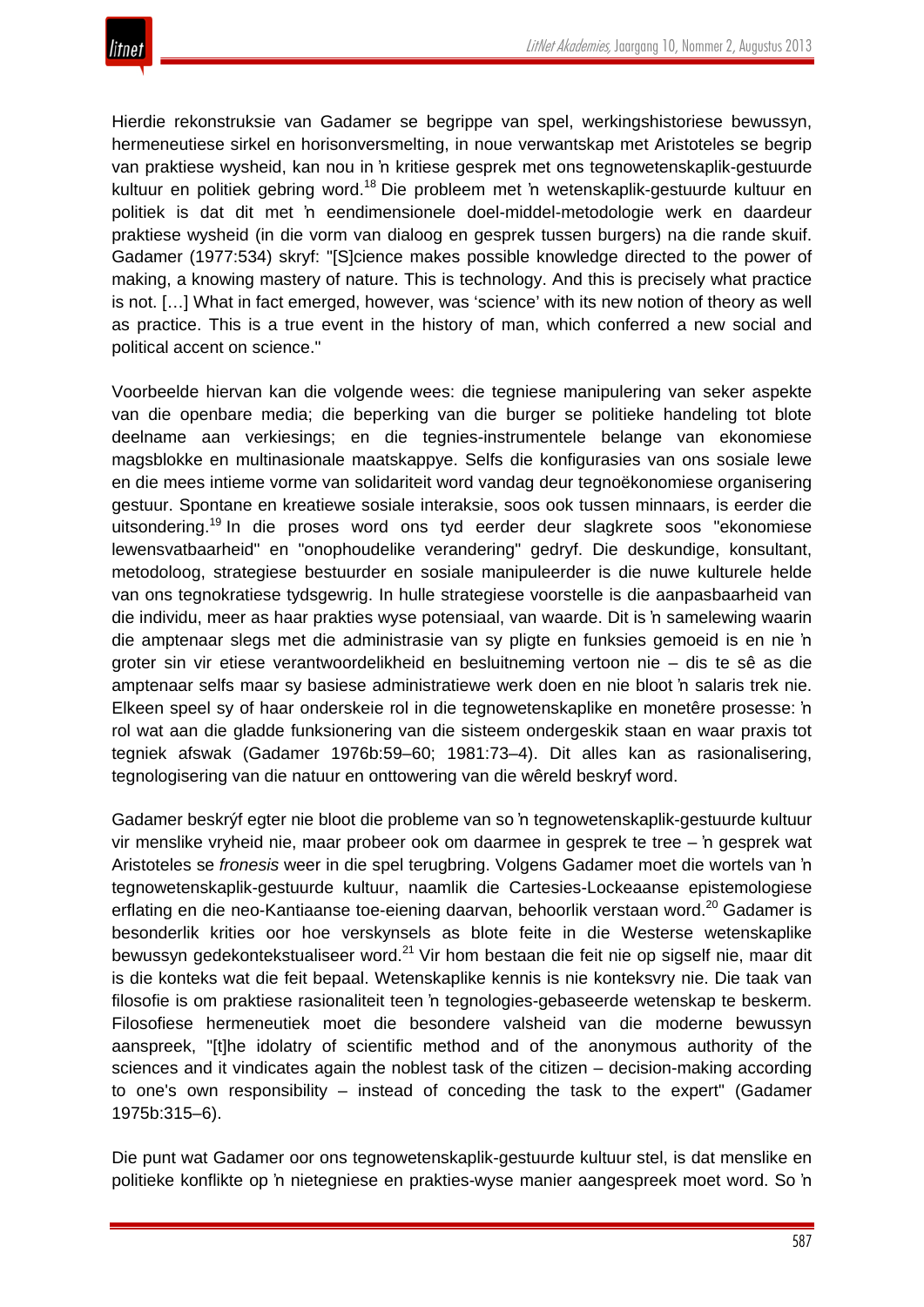

Hierdie rekonstruksie van Gadamer se begrippe van spel, werkingshistoriese bewussyn, hermeneutiese sirkel en horisonversmelting, in noue verwantskap met Aristoteles se begrip van praktiese wysheid, kan nou in 'n kritiese gesprek met ons tegnowetenskaplik-gestuurde kultuur en politiek gebring word.<sup>18</sup> Die probleem met 'n wetenskaplik-gestuurde kultuur en politiek is dat dit met 'n eendimensionele doel-middel-metodologie werk en daardeur praktiese wysheid (in die vorm van dialoog en gesprek tussen burgers) na die rande skuif. Gadamer (1977:534) skryf: "[S]cience makes possible knowledge directed to the power of making, a knowing mastery of nature. This is technology. And this is precisely what practice is not. […] What in fact emerged, however, was 'science' with its new notion of theory as well as practice. This is a true event in the history of man, which conferred a new social and political accent on science."

Voorbeelde hiervan kan die volgende wees: die tegniese manipulering van seker aspekte van die openbare media; die beperking van die burger se politieke handeling tot blote deelname aan verkiesings; en die tegnies-instrumentele belange van ekonomiese magsblokke en multinasionale maatskappye. Selfs die konfigurasies van ons sosiale lewe en die mees intieme vorme van solidariteit word vandag deur tegnoëkonomiese organisering gestuur. Spontane en kreatiewe sosiale interaksie, soos ook tussen minnaars, is eerder die uitsondering.<sup>19</sup> In die proses word ons tyd eerder deur slagkrete soos "ekonomiese lewensvatbaarheid" en "onophoudelike verandering" gedryf. Die deskundige, konsultant, metodoloog, strategiese bestuurder en sosiale manipuleerder is die nuwe kulturele helde van ons tegnokratiese tydsgewrig. In hulle strategiese voorstelle is die aanpasbaarheid van die individu, meer as haar prakties wyse potensiaal, van waarde. Dit is 'n samelewing waarin die amptenaar slegs met die administrasie van sy pligte en funksies gemoeid is en nie 'n groter sin vir etiese verantwoordelikheid en besluitneming vertoon nie – dis te sê as die amptenaar selfs maar sy basiese administratiewe werk doen en nie bloot 'n salaris trek nie. Elkeen speel sy of haar onderskeie rol in die tegnowetenskaplike en monetêre prosesse: 'n rol wat aan die gladde funksionering van die sisteem ondergeskik staan en waar praxis tot tegniek afswak (Gadamer 1976b:59–60; 1981:73–4). Dit alles kan as rasionalisering, tegnologisering van die natuur en onttowering van die wêreld beskryf word.

Gadamer beskrýf egter nie bloot die probleme van so 'n tegnowetenskaplik-gestuurde kultuur vir menslike vryheid nie, maar probeer ook om daarmee in gesprek te tree – 'n gesprek wat Aristoteles se *fronesis* weer in die spel terugbring. Volgens Gadamer moet die wortels van 'n tegnowetenskaplik-gestuurde kultuur, naamlik die Cartesies-Lockeaanse epistemologiese erflating en die neo-Kantiaanse toe-eiening daarvan, behoorlik verstaan word.<sup>20</sup> Gadamer is besonderlik krities oor hoe verskynsels as blote feite in die Westerse wetenskaplike bewussyn gedekontekstualiseer word.<sup>21</sup> Vir hom bestaan die feit nie op sigself nie, maar dit is die konteks wat die feit bepaal. Wetenskaplike kennis is nie konteksvry nie. Die taak van filosofie is om praktiese rasionaliteit teen 'n tegnologies-gebaseerde wetenskap te beskerm. Filosofiese hermeneutiek moet die besondere valsheid van die moderne bewussyn aanspreek, "[t]he idolatry of scientific method and of the anonymous authority of the sciences and it vindicates again the noblest task of the citizen – decision-making according to one's own responsibility – instead of conceding the task to the expert" (Gadamer 1975b:315–6).

Die punt wat Gadamer oor ons tegnowetenskaplik-gestuurde kultuur stel, is dat menslike en politieke konflikte op 'n nietegniese en prakties-wyse manier aangespreek moet word. So 'n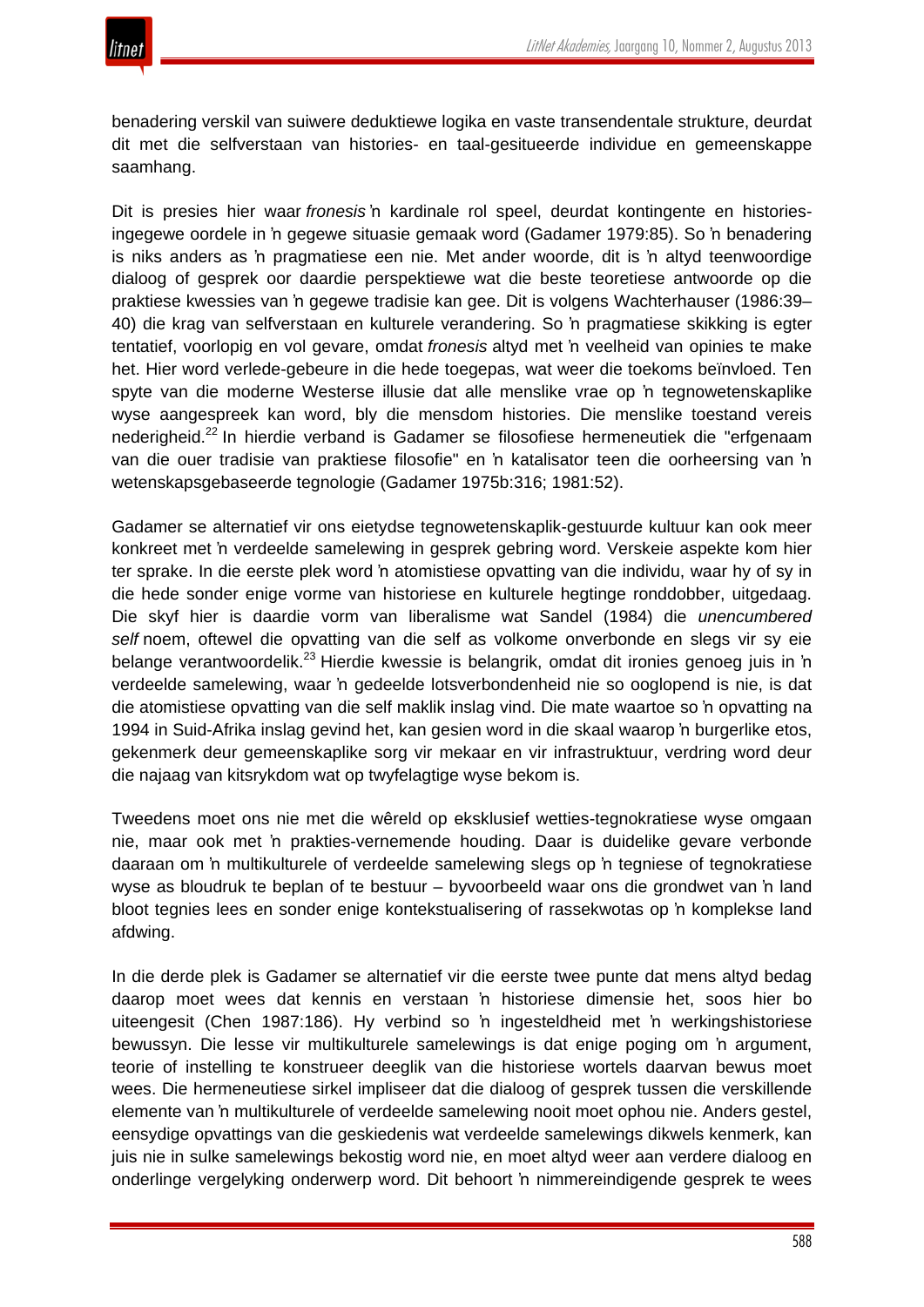benadering verskil van suiwere deduktiewe logika en vaste transendentale strukture, deurdat dit met die selfverstaan van histories- en taal-gesitueerde individue en gemeenskappe saamhang.

Dit is presies hier waar *fronesis* 'n kardinale rol speel, deurdat kontingente en historiesingegewe oordele in 'n gegewe situasie gemaak word (Gadamer 1979:85). So 'n benadering is niks anders as 'n pragmatiese een nie. Met ander woorde, dit is 'n altyd teenwoordige dialoog of gesprek oor daardie perspektiewe wat die beste teoretiese antwoorde op die praktiese kwessies van 'n gegewe tradisie kan gee. Dit is volgens Wachterhauser (1986:39– 40) die krag van selfverstaan en kulturele verandering. So 'n pragmatiese skikking is egter tentatief, voorlopig en vol gevare, omdat *fronesis* altyd met 'n veelheid van opinies te make het. Hier word verlede-gebeure in die hede toegepas, wat weer die toekoms beïnvloed. Ten spyte van die moderne Westerse illusie dat alle menslike vrae op 'n tegnowetenskaplike wyse aangespreek kan word, bly die mensdom histories. Die menslike toestand vereis nederigheid.22 In hierdie verband is Gadamer se filosofiese hermeneutiek die "erfgenaam van die ouer tradisie van praktiese filosofie" en 'n katalisator teen die oorheersing van 'n wetenskapsgebaseerde tegnologie (Gadamer 1975b:316; 1981:52).

Gadamer se alternatief vir ons eietydse tegnowetenskaplik-gestuurde kultuur kan ook meer konkreet met 'n verdeelde samelewing in gesprek gebring word. Verskeie aspekte kom hier ter sprake. In die eerste plek word 'n atomistiese opvatting van die individu, waar hy of sy in die hede sonder enige vorme van historiese en kulturele hegtinge ronddobber, uitgedaag. Die skyf hier is daardie vorm van liberalisme wat Sandel (1984) die *unencumbered self* noem, oftewel die opvatting van die self as volkome onverbonde en slegs vir sy eie belange verantwoordelik.<sup>23</sup> Hierdie kwessie is belangrik, omdat dit ironies genoeg juis in 'n verdeelde samelewing, waar 'n gedeelde lotsverbondenheid nie so ooglopend is nie, is dat die atomistiese opvatting van die self maklik inslag vind. Die mate waartoe so 'n opvatting na 1994 in Suid-Afrika inslag gevind het, kan gesien word in die skaal waarop 'n burgerlike etos, gekenmerk deur gemeenskaplike sorg vir mekaar en vir infrastruktuur, verdring word deur die najaag van kitsrykdom wat op twyfelagtige wyse bekom is.

Tweedens moet ons nie met die wêreld op eksklusief wetties-tegnokratiese wyse omgaan nie, maar ook met 'n prakties-vernemende houding. Daar is duidelike gevare verbonde daaraan om 'n multikulturele of verdeelde samelewing slegs op 'n tegniese of tegnokratiese wyse as bloudruk te beplan of te bestuur – byvoorbeeld waar ons die grondwet van 'n land bloot tegnies lees en sonder enige kontekstualisering of rassekwotas op 'n komplekse land afdwing.

In die derde plek is Gadamer se alternatief vir die eerste twee punte dat mens altyd bedag daarop moet wees dat kennis en verstaan 'n historiese dimensie het, soos hier bo uiteengesit (Chen 1987:186). Hy verbind so 'n ingesteldheid met 'n werkingshistoriese bewussyn. Die lesse vir multikulturele samelewings is dat enige poging om 'n argument, teorie of instelling te konstrueer deeglik van die historiese wortels daarvan bewus moet wees. Die hermeneutiese sirkel impliseer dat die dialoog of gesprek tussen die verskillende elemente van 'n multikulturele of verdeelde samelewing nooit moet ophou nie. Anders gestel, eensydige opvattings van die geskiedenis wat verdeelde samelewings dikwels kenmerk, kan juis nie in sulke samelewings bekostig word nie, en moet altyd weer aan verdere dialoog en onderlinge vergelyking onderwerp word. Dit behoort 'n nimmereindigende gesprek te wees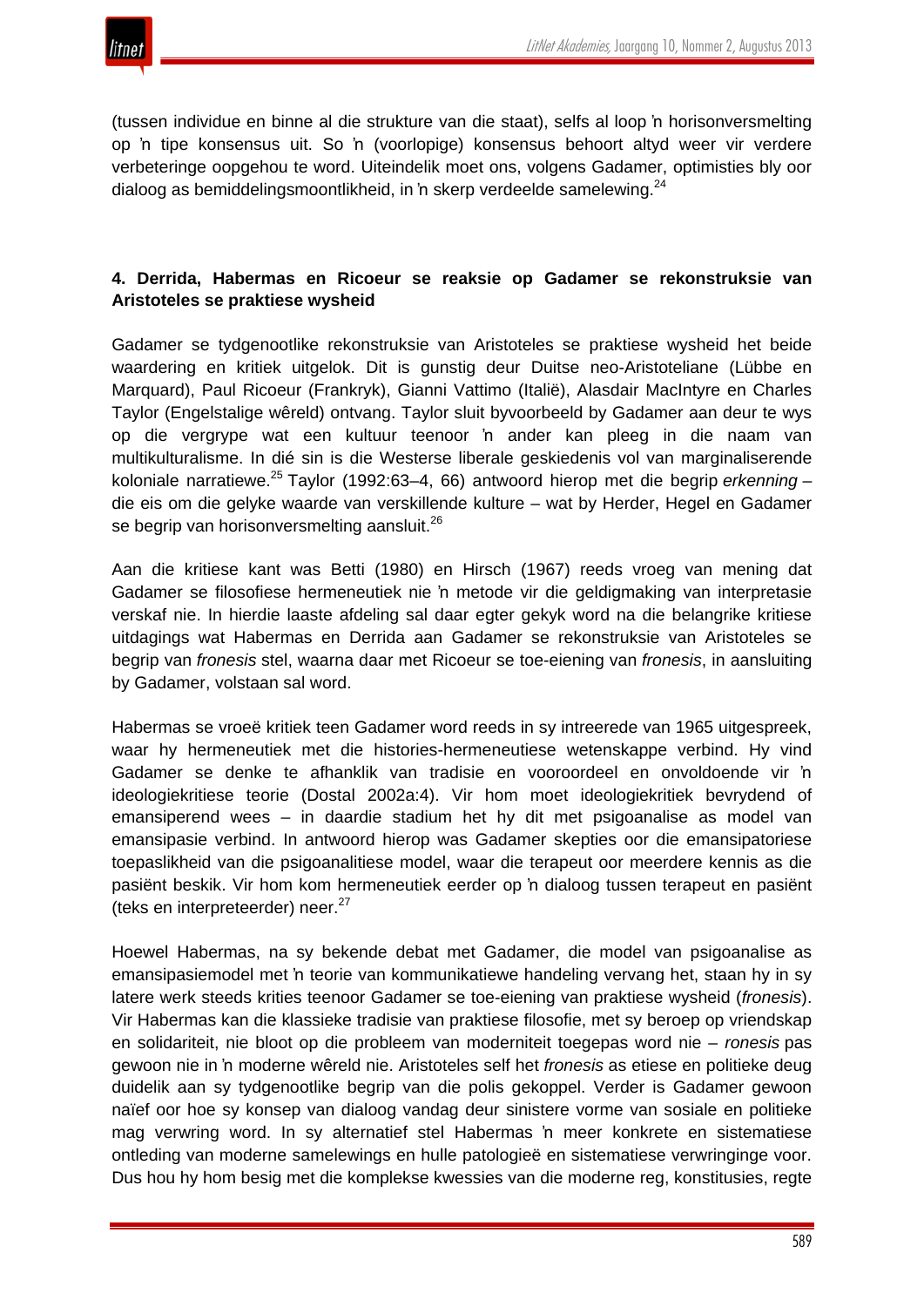

(tussen individue en binne al die strukture van die staat), selfs al loop 'n horisonversmelting op 'n tipe konsensus uit. So 'n (voorlopige) konsensus behoort altyd weer vir verdere verbeteringe oopgehou te word. Uiteindelik moet ons, volgens Gadamer, optimisties bly oor dialoog as bemiddelingsmoontlikheid, in 'n skerp verdeelde samelewing.<sup>24</sup>

# **4. Derrida, Habermas en Ricoeur se reaksie op Gadamer se rekonstruksie van Aristoteles se praktiese wysheid**

Gadamer se tydgenootlike rekonstruksie van Aristoteles se praktiese wysheid het beide waardering en kritiek uitgelok. Dit is gunstig deur Duitse neo-Aristoteliane (Lübbe en Marquard), Paul Ricoeur (Frankryk), Gianni Vattimo (Italië), Alasdair MacIntyre en Charles Taylor (Engelstalige wêreld) ontvang. Taylor sluit byvoorbeeld by Gadamer aan deur te wys op die vergrype wat een kultuur teenoor 'n ander kan pleeg in die naam van multikulturalisme. In dié sin is die Westerse liberale geskiedenis vol van marginaliserende koloniale narratiewe.<sup>25</sup> Taylor (1992:63–4, 66) antwoord hierop met die begrip *erkenning* – die eis om die gelyke waarde van verskillende kulture – wat by Herder, Hegel en Gadamer se begrip van horisonversmelting aansluit.<sup>26</sup>

Aan die kritiese kant was Betti (1980) en Hirsch (1967) reeds vroeg van mening dat Gadamer se filosofiese hermeneutiek nie 'n metode vir die geldigmaking van interpretasie verskaf nie. In hierdie laaste afdeling sal daar egter gekyk word na die belangrike kritiese uitdagings wat Habermas en Derrida aan Gadamer se rekonstruksie van Aristoteles se begrip van *fronesis* stel, waarna daar met Ricoeur se toe-eiening van *fronesis*, in aansluiting by Gadamer, volstaan sal word.

Habermas se vroeë kritiek teen Gadamer word reeds in sy intreerede van 1965 uitgespreek, waar hy hermeneutiek met die histories-hermeneutiese wetenskappe verbind. Hy vind Gadamer se denke te afhanklik van tradisie en vooroordeel en onvoldoende vir 'n ideologiekritiese teorie (Dostal 2002a:4). Vir hom moet ideologiekritiek bevrydend of emansiperend wees – in daardie stadium het hy dit met psigoanalise as model van emansipasie verbind. In antwoord hierop was Gadamer skepties oor die emansipatoriese toepaslikheid van die psigoanalitiese model, waar die terapeut oor meerdere kennis as die pasiënt beskik. Vir hom kom hermeneutiek eerder op 'n dialoog tussen terapeut en pasiënt (teks en interpreteerder) neer.<sup>27</sup>

Hoewel Habermas, na sy bekende debat met Gadamer, die model van psigoanalise as emansipasiemodel met 'n teorie van kommunikatiewe handeling vervang het, staan hy in sy latere werk steeds krities teenoor Gadamer se toe-eiening van praktiese wysheid (*fronesis*). Vir Habermas kan die klassieke tradisie van praktiese filosofie, met sy beroep op vriendskap en solidariteit, nie bloot op die probleem van moderniteit toegepas word nie – *ronesis* pas gewoon nie in 'n moderne wêreld nie. Aristoteles self het *fronesis* as etiese en politieke deug duidelik aan sy tydgenootlike begrip van die polis gekoppel. Verder is Gadamer gewoon naïef oor hoe sy konsep van dialoog vandag deur sinistere vorme van sosiale en politieke mag verwring word. In sy alternatief stel Habermas 'n meer konkrete en sistematiese ontleding van moderne samelewings en hulle patologieë en sistematiese verwringinge voor. Dus hou hy hom besig met die komplekse kwessies van die moderne reg, konstitusies, regte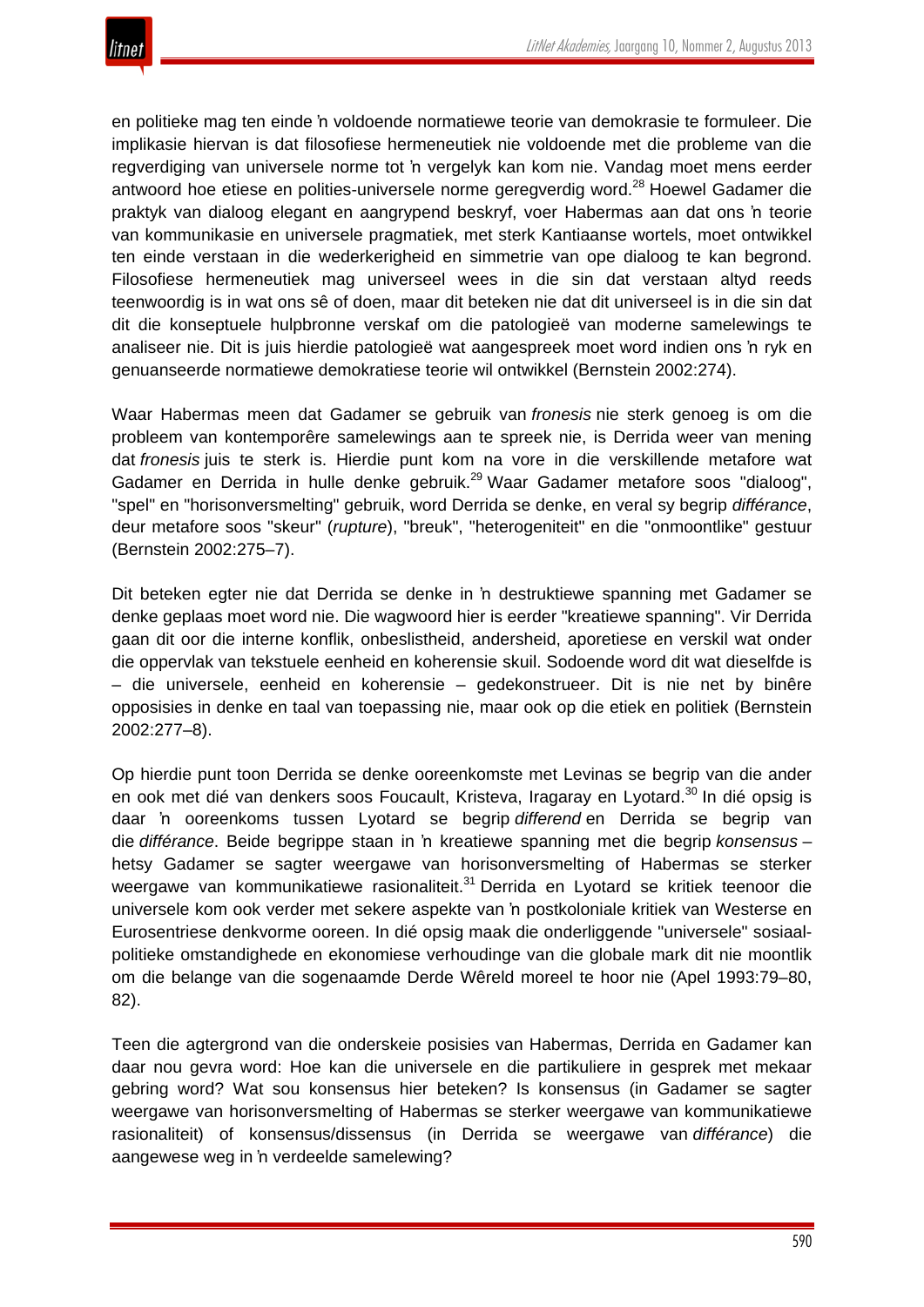

en politieke mag ten einde 'n voldoende normatiewe teorie van demokrasie te formuleer. Die implikasie hiervan is dat filosofiese hermeneutiek nie voldoende met die probleme van die regverdiging van universele norme tot 'n vergelyk kan kom nie. Vandag moet mens eerder antwoord hoe etiese en polities-universele norme geregverdig word.<sup>28</sup> Hoewel Gadamer die praktyk van dialoog elegant en aangrypend beskryf, voer Habermas aan dat ons 'n teorie van kommunikasie en universele pragmatiek, met sterk Kantiaanse wortels, moet ontwikkel ten einde verstaan in die wederkerigheid en simmetrie van ope dialoog te kan begrond. Filosofiese hermeneutiek mag universeel wees in die sin dat verstaan altyd reeds teenwoordig is in wat ons sê of doen, maar dit beteken nie dat dit universeel is in die sin dat dit die konseptuele hulpbronne verskaf om die patologieë van moderne samelewings te analiseer nie. Dit is juis hierdie patologieë wat aangespreek moet word indien ons 'n ryk en genuanseerde normatiewe demokratiese teorie wil ontwikkel (Bernstein 2002:274).

Waar Habermas meen dat Gadamer se gebruik van *fronesis* nie sterk genoeg is om die probleem van kontemporêre samelewings aan te spreek nie, is Derrida weer van mening dat *fronesis* juis te sterk is. Hierdie punt kom na vore in die verskillende metafore wat Gadamer en Derrida in hulle denke gebruik.<sup>29</sup> Waar Gadamer metafore soos "dialoog", "spel" en "horisonversmelting" gebruik, word Derrida se denke, en veral sy begrip *différance*, deur metafore soos "skeur" (*rupture*), "breuk", "heterogeniteit" en die "onmoontlike" gestuur (Bernstein 2002:275–7).

Dit beteken egter nie dat Derrida se denke in 'n destruktiewe spanning met Gadamer se denke geplaas moet word nie. Die wagwoord hier is eerder "kreatiewe spanning". Vir Derrida gaan dit oor die interne konflik, onbeslistheid, andersheid, aporetiese en verskil wat onder die oppervlak van tekstuele eenheid en koherensie skuil. Sodoende word dit wat dieselfde is – die universele, eenheid en koherensie – gedekonstrueer. Dit is nie net by binêre opposisies in denke en taal van toepassing nie, maar ook op die etiek en politiek (Bernstein 2002:277–8).

Op hierdie punt toon Derrida se denke ooreenkomste met Levinas se begrip van die ander en ook met dié van denkers soos Foucault, Kristeva, Iragaray en Lyotard.<sup>30</sup> In dié opsig is daar 'n ooreenkoms tussen Lyotard se begrip *differend* en Derrida se begrip van die *différance*. Beide begrippe staan in 'n kreatiewe spanning met die begrip *konsensus* – hetsy Gadamer se sagter weergawe van horisonversmelting of Habermas se sterker weergawe van kommunikatiewe rasionaliteit.<sup>31</sup> Derrida en Lyotard se kritiek teenoor die universele kom ook verder met sekere aspekte van 'n postkoloniale kritiek van Westerse en Eurosentriese denkvorme ooreen. In dié opsig maak die onderliggende "universele" sosiaalpolitieke omstandighede en ekonomiese verhoudinge van die globale mark dit nie moontlik om die belange van die sogenaamde Derde Wêreld moreel te hoor nie (Apel 1993:79–80, 82).

Teen die agtergrond van die onderskeie posisies van Habermas, Derrida en Gadamer kan daar nou gevra word: Hoe kan die universele en die partikuliere in gesprek met mekaar gebring word? Wat sou konsensus hier beteken? Is konsensus (in Gadamer se sagter weergawe van horisonversmelting of Habermas se sterker weergawe van kommunikatiewe rasionaliteit) of konsensus/dissensus (in Derrida se weergawe van *différance*) die aangewese weg in 'n verdeelde samelewing?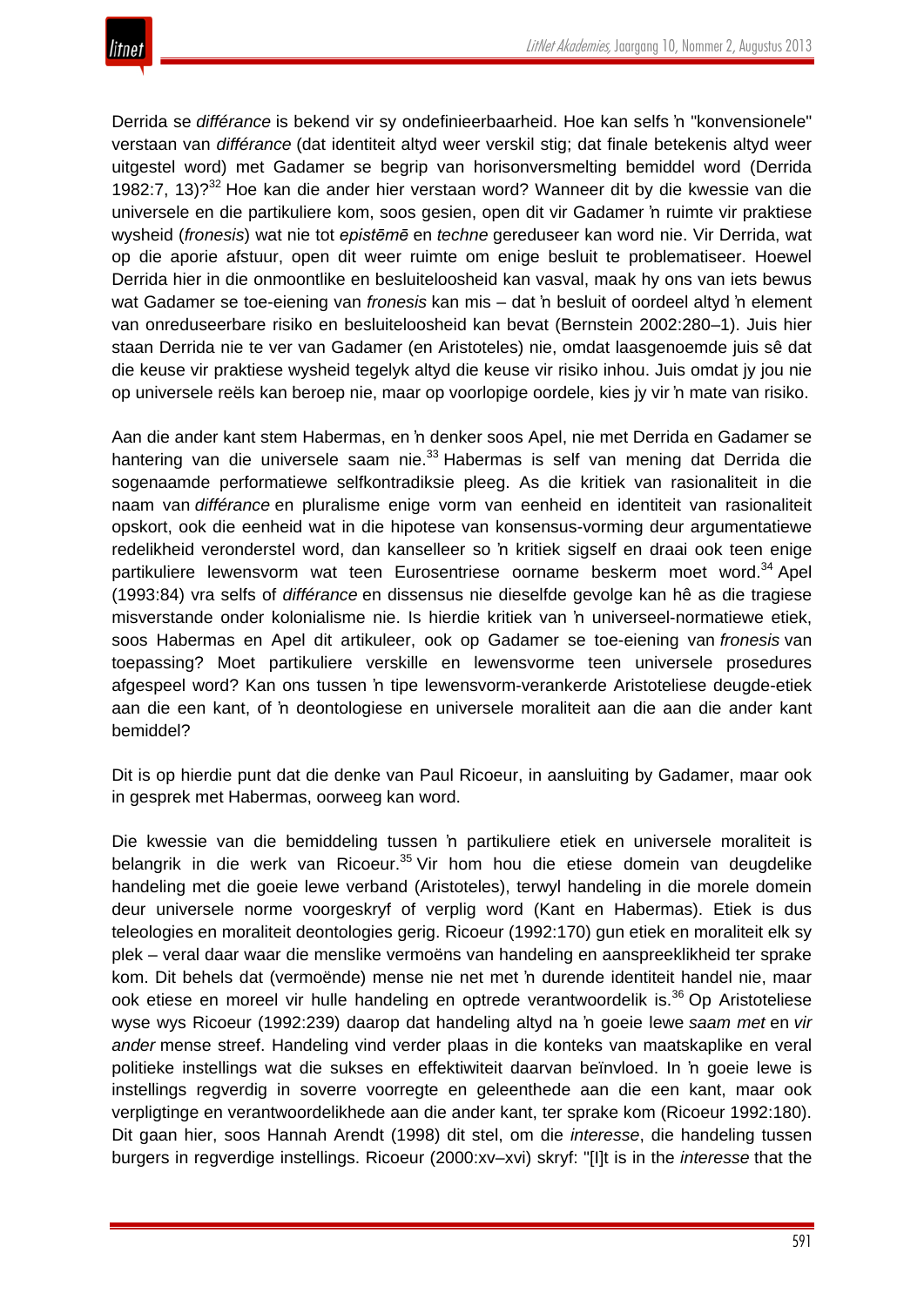

Derrida se *différance* is bekend vir sy ondefinieerbaarheid. Hoe kan selfs 'n "konvensionele" verstaan van *différance* (dat identiteit altyd weer verskil stig; dat finale betekenis altyd weer uitgestel word) met Gadamer se begrip van horisonversmelting bemiddel word (Derrida 1982:7, 13)?<sup>32</sup> Hoe kan die ander hier verstaan word? Wanneer dit by die kwessie van die universele en die partikuliere kom, soos gesien, open dit vir Gadamer 'n ruimte vir praktiese wysheid (*fronesis*) wat nie tot *epistēmē* en *techne* gereduseer kan word nie. Vir Derrida, wat op die aporie afstuur, open dit weer ruimte om enige besluit te problematiseer. Hoewel Derrida hier in die onmoontlike en besluiteloosheid kan vasval, maak hy ons van iets bewus wat Gadamer se toe-eiening van *fronesis* kan mis – dat 'n besluit of oordeel altyd 'n element van onreduseerbare risiko en besluiteloosheid kan bevat (Bernstein 2002:280–1). Juis hier staan Derrida nie te ver van Gadamer (en Aristoteles) nie, omdat laasgenoemde juis sê dat die keuse vir praktiese wysheid tegelyk altyd die keuse vir risiko inhou. Juis omdat jy jou nie op universele reëls kan beroep nie, maar op voorlopige oordele, kies jy vir 'n mate van risiko.

Aan die ander kant stem Habermas, en 'n denker soos Apel, nie met Derrida en Gadamer se hantering van die universele saam nie.<sup>33</sup> Habermas is self van mening dat Derrida die sogenaamde performatiewe selfkontradiksie pleeg. As die kritiek van rasionaliteit in die naam van *différance* en pluralisme enige vorm van eenheid en identiteit van rasionaliteit opskort, ook die eenheid wat in die hipotese van konsensus-vorming deur argumentatiewe redelikheid veronderstel word, dan kanselleer so 'n kritiek sigself en draai ook teen enige partikuliere lewensvorm wat teen Eurosentriese oorname beskerm moet word.<sup>34</sup> Apel (1993:84) vra selfs of *différance* en dissensus nie dieselfde gevolge kan hê as die tragiese misverstande onder kolonialisme nie. Is hierdie kritiek van 'n universeel-normatiewe etiek, soos Habermas en Apel dit artikuleer, ook op Gadamer se toe-eiening van *fronesis* van toepassing? Moet partikuliere verskille en lewensvorme teen universele prosedures afgespeel word? Kan ons tussen 'n tipe lewensvorm-verankerde Aristoteliese deugde-etiek aan die een kant, of 'n deontologiese en universele moraliteit aan die aan die ander kant bemiddel?

Dit is op hierdie punt dat die denke van Paul Ricoeur, in aansluiting by Gadamer, maar ook in gesprek met Habermas, oorweeg kan word.

Die kwessie van die bemiddeling tussen 'n partikuliere etiek en universele moraliteit is belangrik in die werk van Ricoeur.<sup>35</sup> Vir hom hou die etiese domein van deugdelike handeling met die goeie lewe verband (Aristoteles), terwyl handeling in die morele domein deur universele norme voorgeskryf of verplig word (Kant en Habermas). Etiek is dus teleologies en moraliteit deontologies gerig. Ricoeur (1992:170) gun etiek en moraliteit elk sy plek – veral daar waar die menslike vermoëns van handeling en aanspreeklikheid ter sprake kom. Dit behels dat (vermoënde) mense nie net met 'n durende identiteit handel nie, maar ook etiese en moreel vir hulle handeling en optrede verantwoordelik is.<sup>36</sup> Op Aristoteliese wyse wys Ricoeur (1992:239) daarop dat handeling altyd na 'n goeie lewe *saam met* en *vir ander* mense streef. Handeling vind verder plaas in die konteks van maatskaplike en veral politieke instellings wat die sukses en effektiwiteit daarvan beïnvloed. In 'n goeie lewe is instellings regverdig in soverre voorregte en geleenthede aan die een kant, maar ook verpligtinge en verantwoordelikhede aan die ander kant, ter sprake kom (Ricoeur 1992:180). Dit gaan hier, soos Hannah Arendt (1998) dit stel, om die *interesse*, die handeling tussen burgers in regverdige instellings. Ricoeur (2000:xv–xvi) skryf: "[I]t is in the *interesse* that the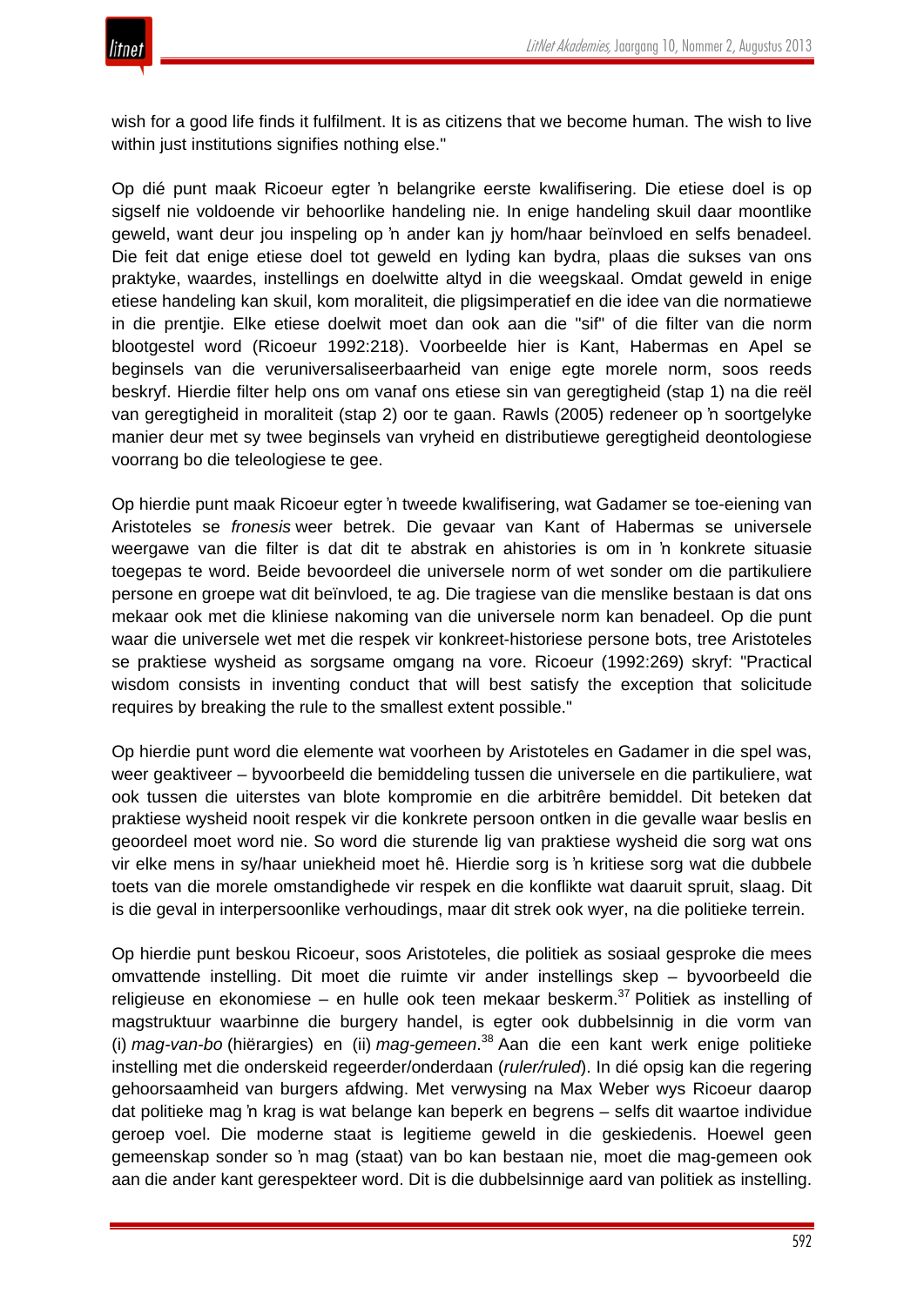wish for a good life finds it fulfilment. It is as citizens that we become human. The wish to live within just institutions signifies nothing else."

Op dié punt maak Ricoeur egter 'n belangrike eerste kwalifisering. Die etiese doel is op sigself nie voldoende vir behoorlike handeling nie. In enige handeling skuil daar moontlike geweld, want deur jou inspeling op 'n ander kan jy hom/haar beïnvloed en selfs benadeel. Die feit dat enige etiese doel tot geweld en lyding kan bydra, plaas die sukses van ons praktyke, waardes, instellings en doelwitte altyd in die weegskaal. Omdat geweld in enige etiese handeling kan skuil, kom moraliteit, die pligsimperatief en die idee van die normatiewe in die prentjie. Elke etiese doelwit moet dan ook aan die "sif" of die filter van die norm blootgestel word (Ricoeur 1992:218). Voorbeelde hier is Kant, Habermas en Apel se beginsels van die veruniversaliseerbaarheid van enige egte morele norm, soos reeds beskryf. Hierdie filter help ons om vanaf ons etiese sin van geregtigheid (stap 1) na die reël van geregtigheid in moraliteit (stap 2) oor te gaan. Rawls (2005) redeneer op 'n soortgelyke manier deur met sy twee beginsels van vryheid en distributiewe geregtigheid deontologiese voorrang bo die teleologiese te gee.

Op hierdie punt maak Ricoeur egter 'n tweede kwalifisering, wat Gadamer se toe-eiening van Aristoteles se *fronesis* weer betrek. Die gevaar van Kant of Habermas se universele weergawe van die filter is dat dit te abstrak en ahistories is om in 'n konkrete situasie toegepas te word. Beide bevoordeel die universele norm of wet sonder om die partikuliere persone en groepe wat dit beïnvloed, te ag. Die tragiese van die menslike bestaan is dat ons mekaar ook met die kliniese nakoming van die universele norm kan benadeel. Op die punt waar die universele wet met die respek vir konkreet-historiese persone bots, tree Aristoteles se praktiese wysheid as sorgsame omgang na vore. Ricoeur (1992:269) skryf: "Practical wisdom consists in inventing conduct that will best satisfy the exception that solicitude requires by breaking the rule to the smallest extent possible."

Op hierdie punt word die elemente wat voorheen by Aristoteles en Gadamer in die spel was, weer geaktiveer – byvoorbeeld die bemiddeling tussen die universele en die partikuliere, wat ook tussen die uiterstes van blote kompromie en die arbitrêre bemiddel. Dit beteken dat praktiese wysheid nooit respek vir die konkrete persoon ontken in die gevalle waar beslis en geoordeel moet word nie. So word die sturende lig van praktiese wysheid die sorg wat ons vir elke mens in sy/haar uniekheid moet hê. Hierdie sorg is 'n kritiese sorg wat die dubbele toets van die morele omstandighede vir respek en die konflikte wat daaruit spruit, slaag. Dit is die geval in interpersoonlike verhoudings, maar dit strek ook wyer, na die politieke terrein.

Op hierdie punt beskou Ricoeur, soos Aristoteles, die politiek as sosiaal gesproke die mees omvattende instelling. Dit moet die ruimte vir ander instellings skep – byvoorbeeld die religieuse en ekonomiese – en hulle ook teen mekaar beskerm. $37$  Politiek as instelling of magstruktuur waarbinne die burgery handel, is egter ook dubbelsinnig in die vorm van (i) *mag-van-bo* (hiërargies) en (ii) *mag-gemeen*. <sup>38</sup> Aan die een kant werk enige politieke instelling met die onderskeid regeerder/onderdaan (*ruler/ruled*). In dié opsig kan die regering gehoorsaamheid van burgers afdwing. Met verwysing na Max Weber wys Ricoeur daarop dat politieke mag 'n krag is wat belange kan beperk en begrens – selfs dit waartoe individue geroep voel. Die moderne staat is legitieme geweld in die geskiedenis. Hoewel geen gemeenskap sonder so 'n mag (staat) van bo kan bestaan nie, moet die mag-gemeen ook aan die ander kant gerespekteer word. Dit is die dubbelsinnige aard van politiek as instelling.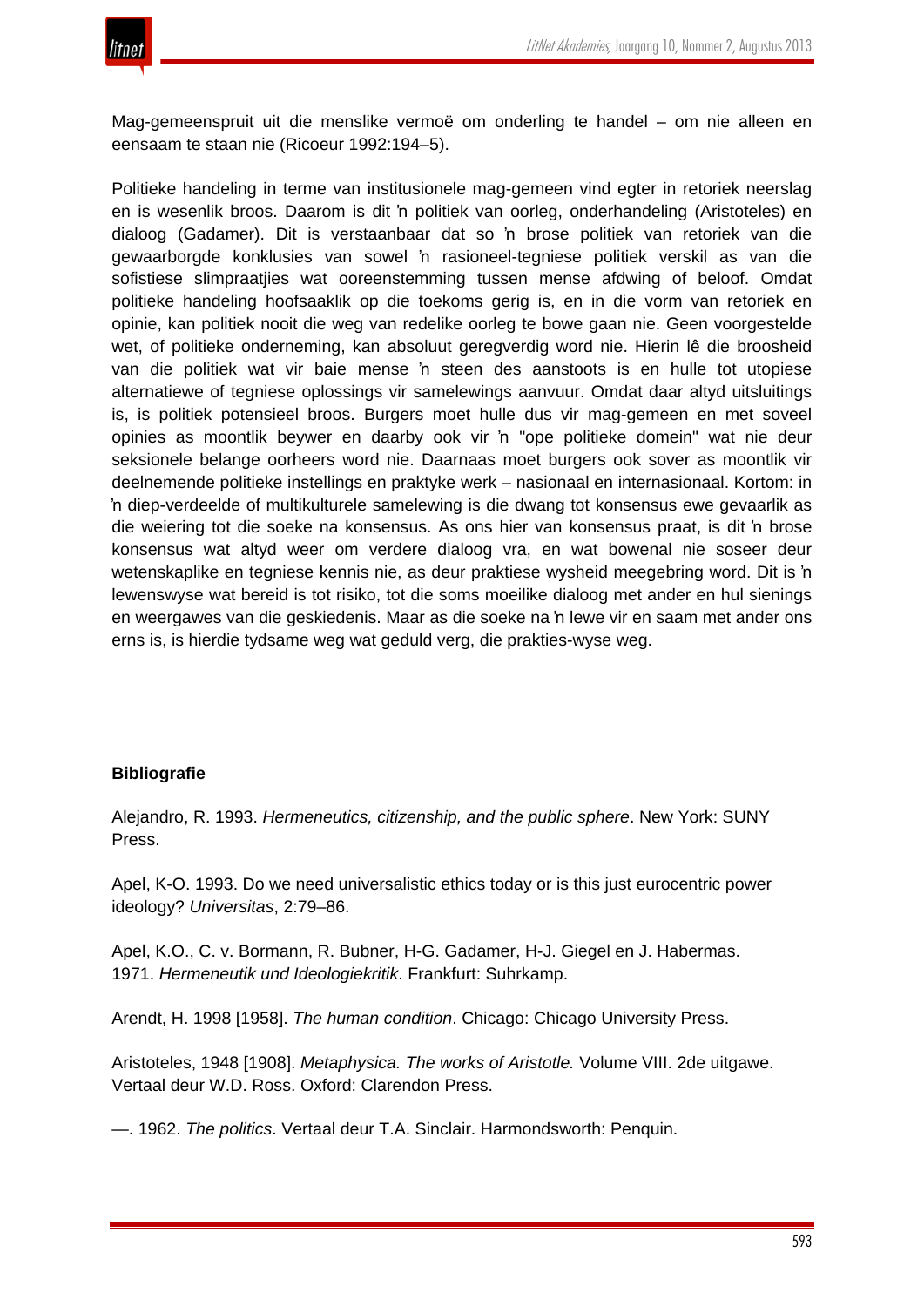

Mag-gemeenspruit uit die menslike vermoë om onderling te handel – om nie alleen en eensaam te staan nie (Ricoeur 1992:194–5).

Politieke handeling in terme van institusionele mag-gemeen vind egter in retoriek neerslag en is wesenlik broos. Daarom is dit 'n politiek van oorleg, onderhandeling (Aristoteles) en dialoog (Gadamer). Dit is verstaanbaar dat so 'n brose politiek van retoriek van die gewaarborgde konklusies van sowel 'n rasioneel-tegniese politiek verskil as van die sofistiese slimpraatjies wat ooreenstemming tussen mense afdwing of beloof. Omdat politieke handeling hoofsaaklik op die toekoms gerig is, en in die vorm van retoriek en opinie, kan politiek nooit die weg van redelike oorleg te bowe gaan nie. Geen voorgestelde wet, of politieke onderneming, kan absoluut geregverdig word nie. Hierin lê die broosheid van die politiek wat vir baie mense 'n steen des aanstoots is en hulle tot utopiese alternatiewe of tegniese oplossings vir samelewings aanvuur. Omdat daar altyd uitsluitings is, is politiek potensieel broos. Burgers moet hulle dus vir mag-gemeen en met soveel opinies as moontlik beywer en daarby ook vir 'n "ope politieke domein" wat nie deur seksionele belange oorheers word nie. Daarnaas moet burgers ook sover as moontlik vir deelnemende politieke instellings en praktyke werk – nasionaal en internasionaal. Kortom: in 'n diep-verdeelde of multikulturele samelewing is die dwang tot konsensus ewe gevaarlik as die weiering tot die soeke na konsensus. As ons hier van konsensus praat, is dit 'n brose konsensus wat altyd weer om verdere dialoog vra, en wat bowenal nie soseer deur wetenskaplike en tegniese kennis nie, as deur praktiese wysheid meegebring word. Dit is 'n lewenswyse wat bereid is tot risiko, tot die soms moeilike dialoog met ander en hul sienings en weergawes van die geskiedenis. Maar as die soeke na 'n lewe vir en saam met ander ons erns is, is hierdie tydsame weg wat geduld verg, die prakties-wyse weg.

#### **Bibliografie**

Alejandro, R. 1993. *Hermeneutics, citizenship, and the public sphere*. New York: SUNY Press.

Apel, K-O. 1993. Do we need universalistic ethics today or is this just eurocentric power ideology? *Universitas*, 2:79–86.

Apel, K.O., C. v. Bormann, R. Bubner, H-G. Gadamer, H-J. Giegel en J. Habermas. 1971. *Hermeneutik und Ideologiekritik*. Frankfurt: Suhrkamp.

Arendt, H. 1998 [1958]. *The human condition*. Chicago: Chicago University Press.

Aristoteles, 1948 [1908]. *Metaphysica. The works of Aristotle.* Volume VIII. 2de uitgawe. Vertaal deur W.D. Ross. Oxford: Clarendon Press.

—. 1962. *The politics*. Vertaal deur T.A. Sinclair. Harmondsworth: Penquin.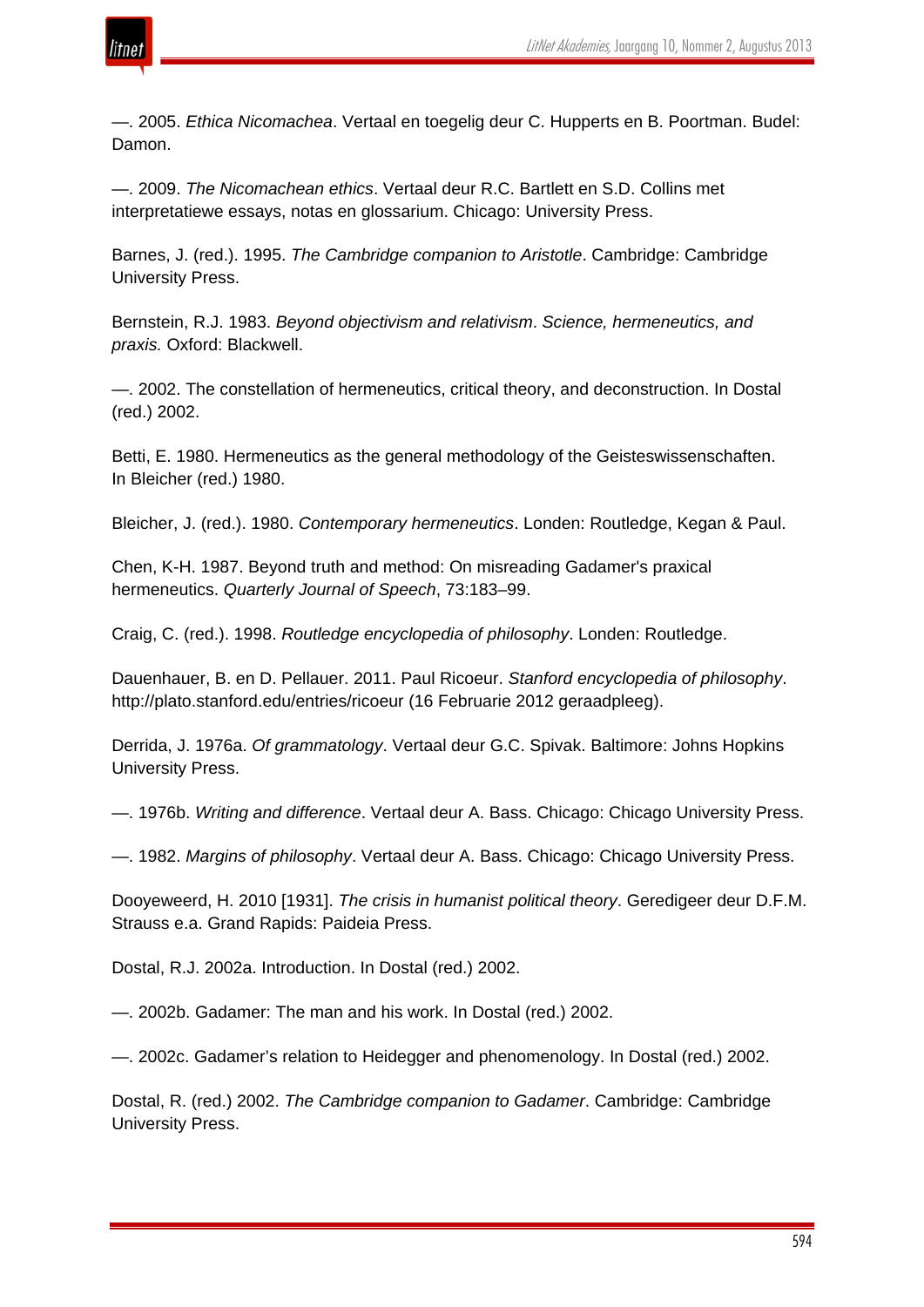

—. 2005. *Ethica Nicomachea*. Vertaal en toegelig deur C. Hupperts en B. Poortman. Budel: Damon.

—. 2009. *The Nicomachean ethics*. Vertaal deur R.C. Bartlett en S.D. Collins met interpretatiewe essays, notas en glossarium. Chicago: University Press.

Barnes, J. (red.). 1995. *The Cambridge companion to Aristotle*. Cambridge: Cambridge University Press.

Bernstein, R.J. 1983. *Beyond objectivism and relativism*. *Science, hermeneutics, and praxis.* Oxford: Blackwell.

—. 2002. The constellation of hermeneutics, critical theory, and deconstruction. In Dostal (red.) 2002.

Betti, E. 1980. Hermeneutics as the general methodology of the Geisteswissenschaften. In Bleicher (red.) 1980.

Bleicher, J. (red.). 1980. *Contemporary hermeneutics*. Londen: Routledge, Kegan & Paul.

Chen, K-H. 1987. Beyond truth and method: On misreading Gadamer's praxical hermeneutics. *Quarterly Journal of Speech*, 73:183–99.

Craig, C. (red.). 1998. *Routledge encyclopedia of philosophy*. Londen: Routledge.

Dauenhauer, B. en D. Pellauer. 2011. Paul Ricoeur. *Stanford encyclopedia of philosophy*. http://plato.stanford.edu/entries/ricoeur (16 Februarie 2012 geraadpleeg).

Derrida, J. 1976a. *Of grammatology*. Vertaal deur G.C. Spivak. Baltimore: Johns Hopkins University Press.

—. 1976b. *Writing and difference*. Vertaal deur A. Bass. Chicago: Chicago University Press.

—. 1982. *Margins of philosophy*. Vertaal deur A. Bass. Chicago: Chicago University Press.

Dooyeweerd, H. 2010 [1931]. *The crisis in humanist political theory*. Geredigeer deur D.F.M. Strauss e.a. Grand Rapids: Paideia Press.

Dostal, R.J. 2002a. Introduction. In Dostal (red.) 2002.

—. 2002b. Gadamer: The man and his work. In Dostal (red.) 2002.

—. 2002c. Gadamer's relation to Heidegger and phenomenology. In Dostal (red.) 2002.

Dostal, R. (red.) 2002. *The Cambridge companion to Gadamer*. Cambridge: Cambridge University Press.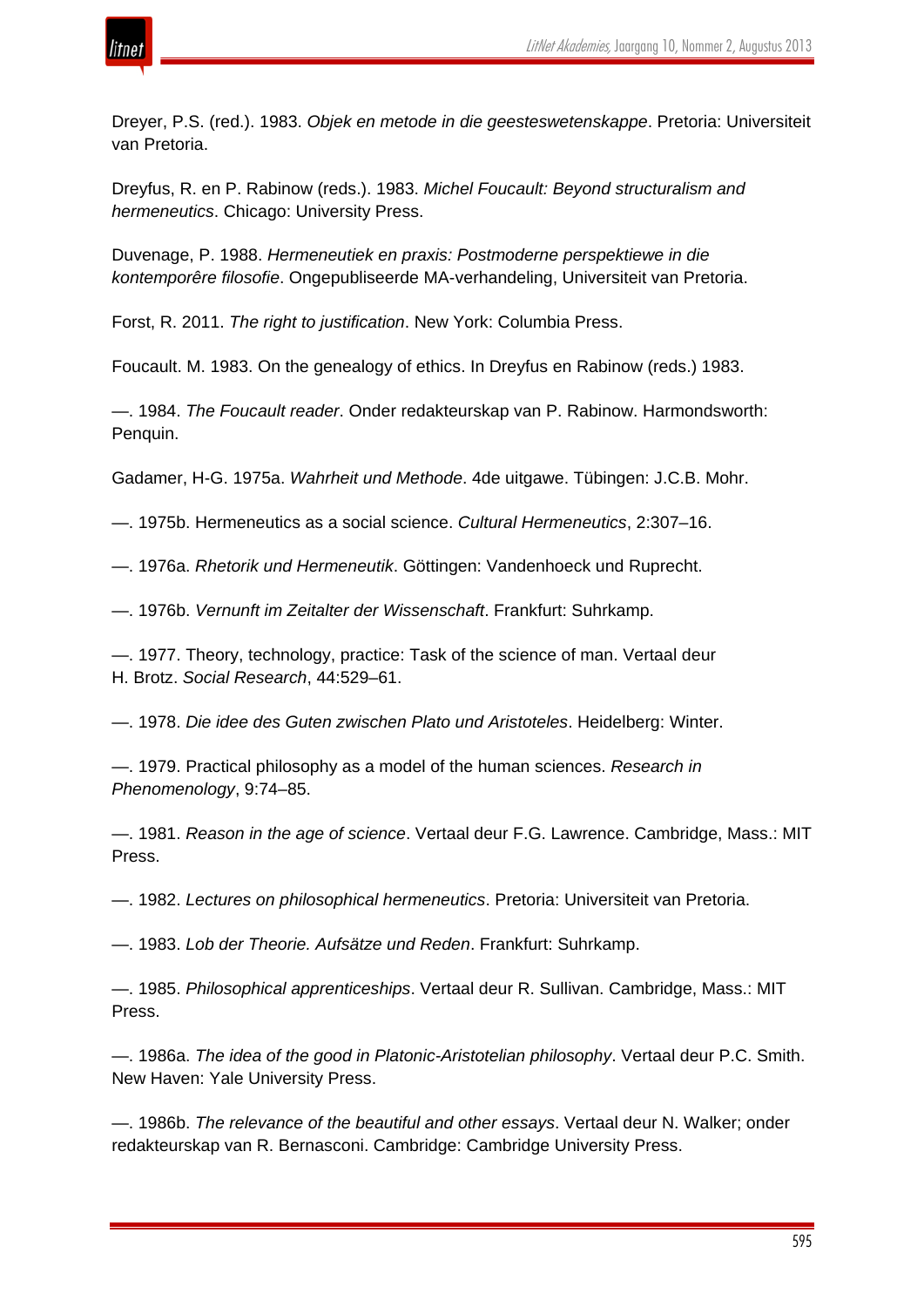

Dreyer, P.S. (red.). 1983. *Objek en metode in die geesteswetenskappe*. Pretoria: Universiteit van Pretoria.

Dreyfus, R. en P. Rabinow (reds.). 1983. *Michel Foucault: Beyond structuralism and hermeneutics*. Chicago: University Press.

Duvenage, P. 1988. *Hermeneutiek en praxis: Postmoderne perspektiewe in die kontemporêre filosofie*. Ongepubliseerde MA-verhandeling, Universiteit van Pretoria.

Forst, R. 2011. *The right to justification*. New York: Columbia Press.

Foucault. M. 1983. On the genealogy of ethics. In Dreyfus en Rabinow (reds.) 1983.

—. 1984. *The Foucault reader*. Onder redakteurskap van P. Rabinow. Harmondsworth: Penquin.

Gadamer, H-G. 1975a. *Wahrheit und Methode*. 4de uitgawe. Tübingen: J.C.B. Mohr.

—. 1975b. Hermeneutics as a social science. *Cultural Hermeneutics*, 2:307–16.

—. 1976a. *Rhetorik und Hermeneutik*. Göttingen: Vandenhoeck und Ruprecht.

—. 1976b. *Vernunft im Zeitalter der Wissenschaft*. Frankfurt: Suhrkamp.

—. 1977. Theory, technology, practice: Task of the science of man. Vertaal deur H. Brotz. *Social Research*, 44:529–61.

—. 1978. *Die idee des Guten zwischen Plato und Aristoteles*. Heidelberg: Winter.

—. 1979. Practical philosophy as a model of the human sciences. *Research in Phenomenology*, 9:74–85.

—. 1981. *Reason in the age of science*. Vertaal deur F.G. Lawrence. Cambridge, Mass.: MIT Press.

—. 1982. *Lectures on philosophical hermeneutics*. Pretoria: Universiteit van Pretoria.

—. 1983. *Lob der Theorie. Aufsätze und Reden*. Frankfurt: Suhrkamp.

—. 1985. *Philosophical apprenticeships*. Vertaal deur R. Sullivan. Cambridge, Mass.: MIT Press.

—. 1986a. *The idea of the good in Platonic-Aristotelian philosophy*. Vertaal deur P.C. Smith. New Haven: Yale University Press.

—. 1986b. *The relevance of the beautiful and other essays*. Vertaal deur N. Walker; onder redakteurskap van R. Bernasconi. Cambridge: Cambridge University Press.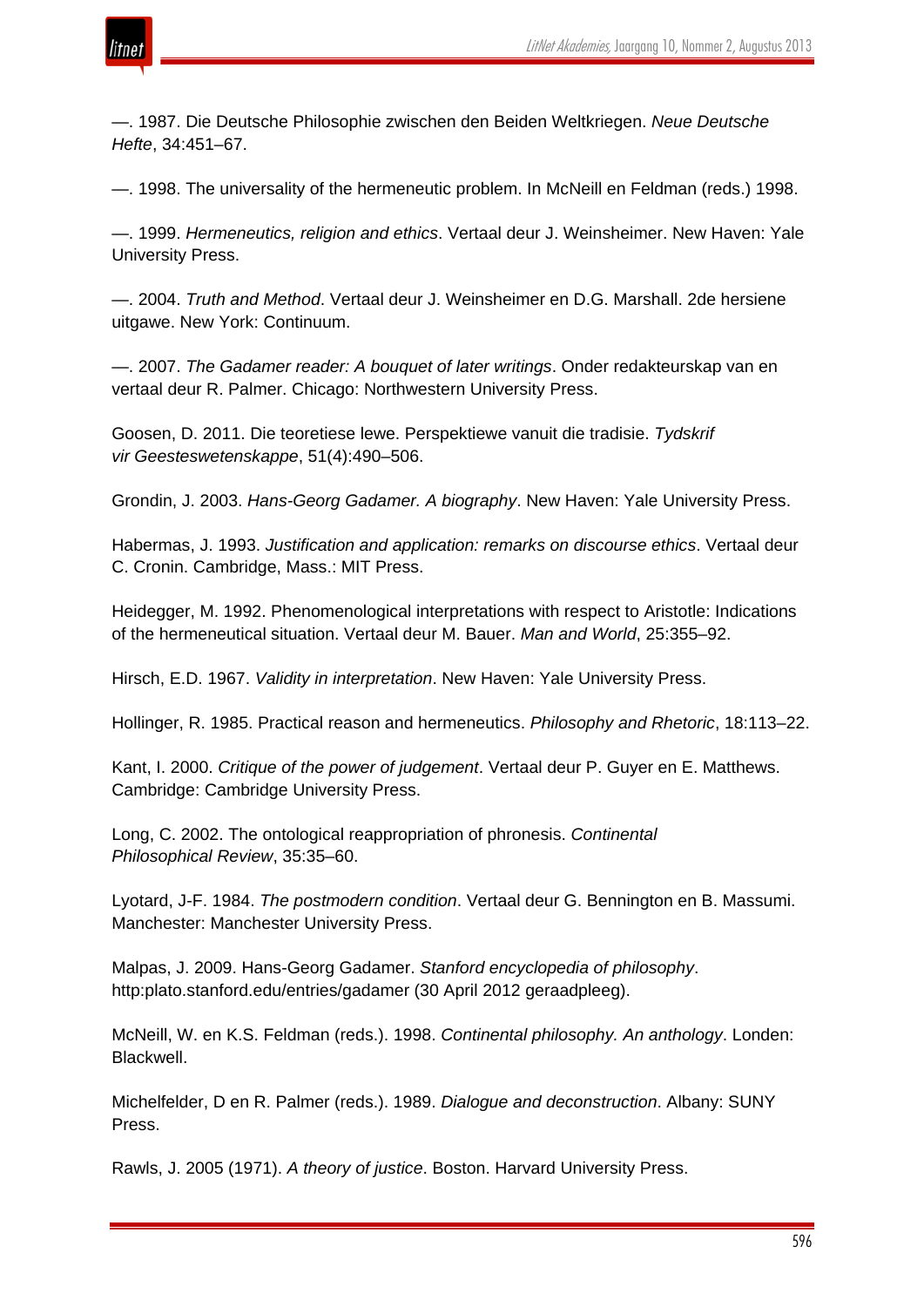

—. 1987. Die Deutsche Philosophie zwischen den Beiden Weltkriegen. *Neue Deutsche Hefte*, 34:451–67.

—. 1998. The universality of the hermeneutic problem. In McNeill en Feldman (reds.) 1998.

—. 1999. *Hermeneutics, religion and ethics*. Vertaal deur J. Weinsheimer. New Haven: Yale University Press.

—. 2004. *Truth and Method*. Vertaal deur J. Weinsheimer en D.G. Marshall. 2de hersiene uitgawe. New York: Continuum.

—. 2007. *The Gadamer reader: A bouquet of later writings*. Onder redakteurskap van en vertaal deur R. Palmer. Chicago: Northwestern University Press.

Goosen, D. 2011. Die teoretiese lewe. Perspektiewe vanuit die tradisie. *Tydskrif vir Geesteswetenskappe*, 51(4):490–506.

Grondin, J. 2003. *Hans-Georg Gadamer. A biography*. New Haven: Yale University Press.

Habermas, J. 1993. *Justification and application: remarks on discourse ethics*. Vertaal deur C. Cronin. Cambridge, Mass.: MIT Press.

Heidegger, M. 1992. Phenomenological interpretations with respect to Aristotle: Indications of the hermeneutical situation. Vertaal deur M. Bauer. *Man and World*, 25:355–92.

Hirsch, E.D. 1967. *Validity in interpretation*. New Haven: Yale University Press.

Hollinger, R. 1985. Practical reason and hermeneutics. *Philosophy and Rhetoric*, 18:113–22.

Kant, I. 2000. *Critique of the power of judgement*. Vertaal deur P. Guyer en E. Matthews. Cambridge: Cambridge University Press.

Long, C. 2002. The ontological reappropriation of phronesis. *Continental Philosophical Review*, 35:35–60.

Lyotard, J-F. 1984. *The postmodern condition*. Vertaal deur G. Bennington en B. Massumi. Manchester: Manchester University Press.

Malpas, J. 2009. Hans-Georg Gadamer. *Stanford encyclopedia of philosophy*. http:plato.stanford.edu/entries/gadamer (30 April 2012 geraadpleeg).

McNeill, W. en K.S. Feldman (reds.). 1998. *Continental philosophy. An anthology*. Londen: Blackwell.

Michelfelder, D en R. Palmer (reds.). 1989. *Dialogue and deconstruction*. Albany: SUNY Press.

Rawls, J. 2005 (1971). *A theory of justice*. Boston. Harvard University Press.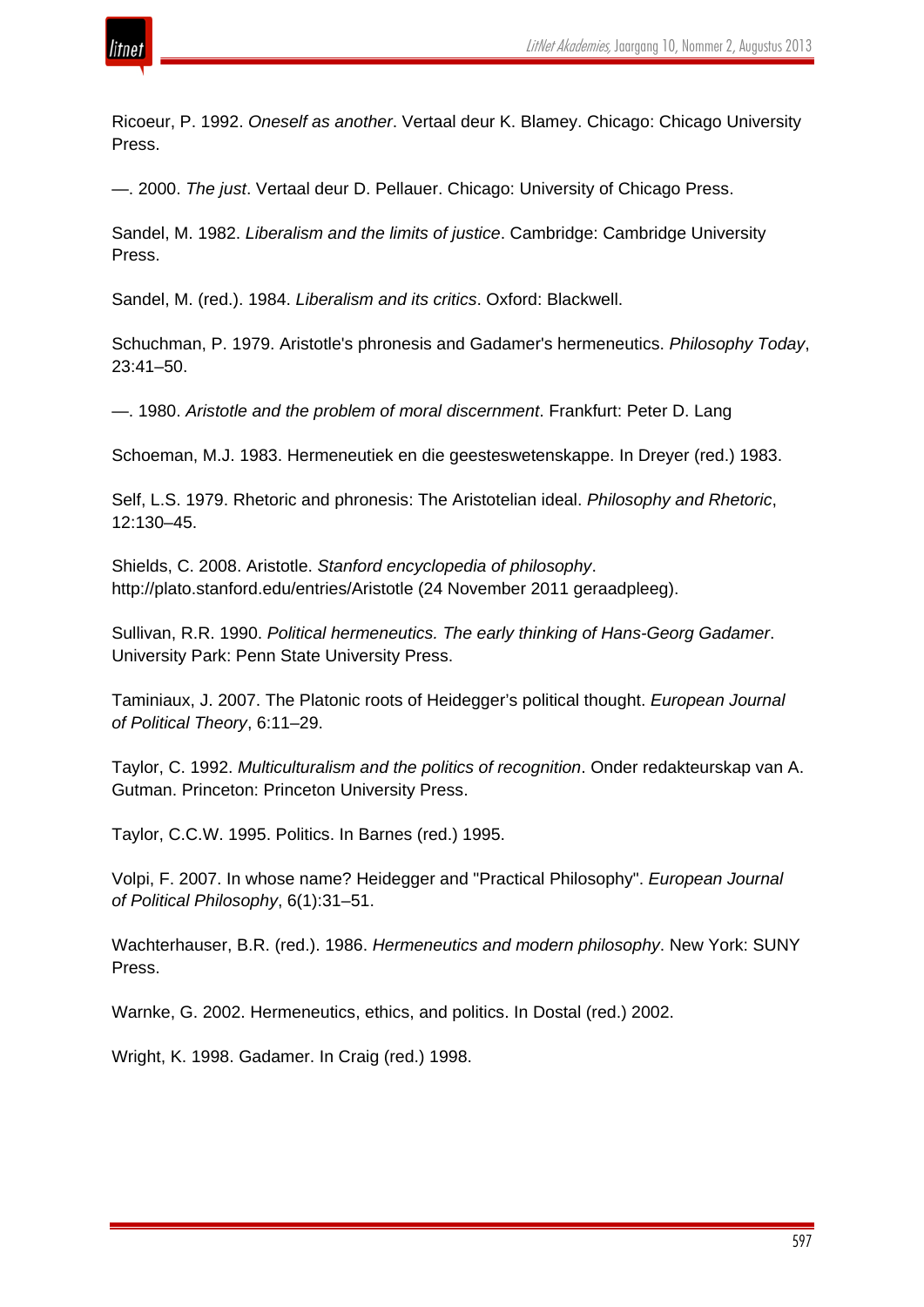

Ricoeur, P. 1992. *Oneself as another*. Vertaal deur K. Blamey. Chicago: Chicago University Press.

—. 2000. *The just*. Vertaal deur D. Pellauer. Chicago: University of Chicago Press.

Sandel, M. 1982. *Liberalism and the limits of justice*. Cambridge: Cambridge University Press.

Sandel, M. (red.). 1984. *Liberalism and its critics*. Oxford: Blackwell.

Schuchman, P. 1979. Aristotle's phronesis and Gadamer's hermeneutics. *Philosophy Today*, 23:41–50.

—. 1980. *Aristotle and the problem of moral discernment*. Frankfurt: Peter D. Lang

Schoeman, M.J. 1983. Hermeneutiek en die geesteswetenskappe. In Dreyer (red.) 1983.

Self, L.S. 1979. Rhetoric and phronesis: The Aristotelian ideal. *Philosophy and Rhetoric*, 12:130–45.

Shields, C. 2008. Aristotle. *Stanford encyclopedia of philosophy*. http://plato.stanford.edu/entries/Aristotle (24 November 2011 geraadpleeg).

Sullivan, R.R. 1990. *Political hermeneutics. The early thinking of Hans-Georg Gadamer*. University Park: Penn State University Press.

Taminiaux, J. 2007. The Platonic roots of Heidegger's political thought. *European Journal of Political Theory*, 6:11–29.

Taylor, C. 1992. *Multiculturalism and the politics of recognition*. Onder redakteurskap van A. Gutman. Princeton: Princeton University Press.

Taylor, C.C.W. 1995. Politics. In Barnes (red.) 1995.

Volpi, F. 2007. In whose name? Heidegger and "Practical Philosophy". *European Journal of Political Philosophy*, 6(1):31–51.

Wachterhauser, B.R. (red.). 1986. *Hermeneutics and modern philosophy*. New York: SUNY Press.

Warnke, G. 2002. Hermeneutics, ethics, and politics. In Dostal (red.) 2002.

Wright, K. 1998. Gadamer. In Craig (red.) 1998.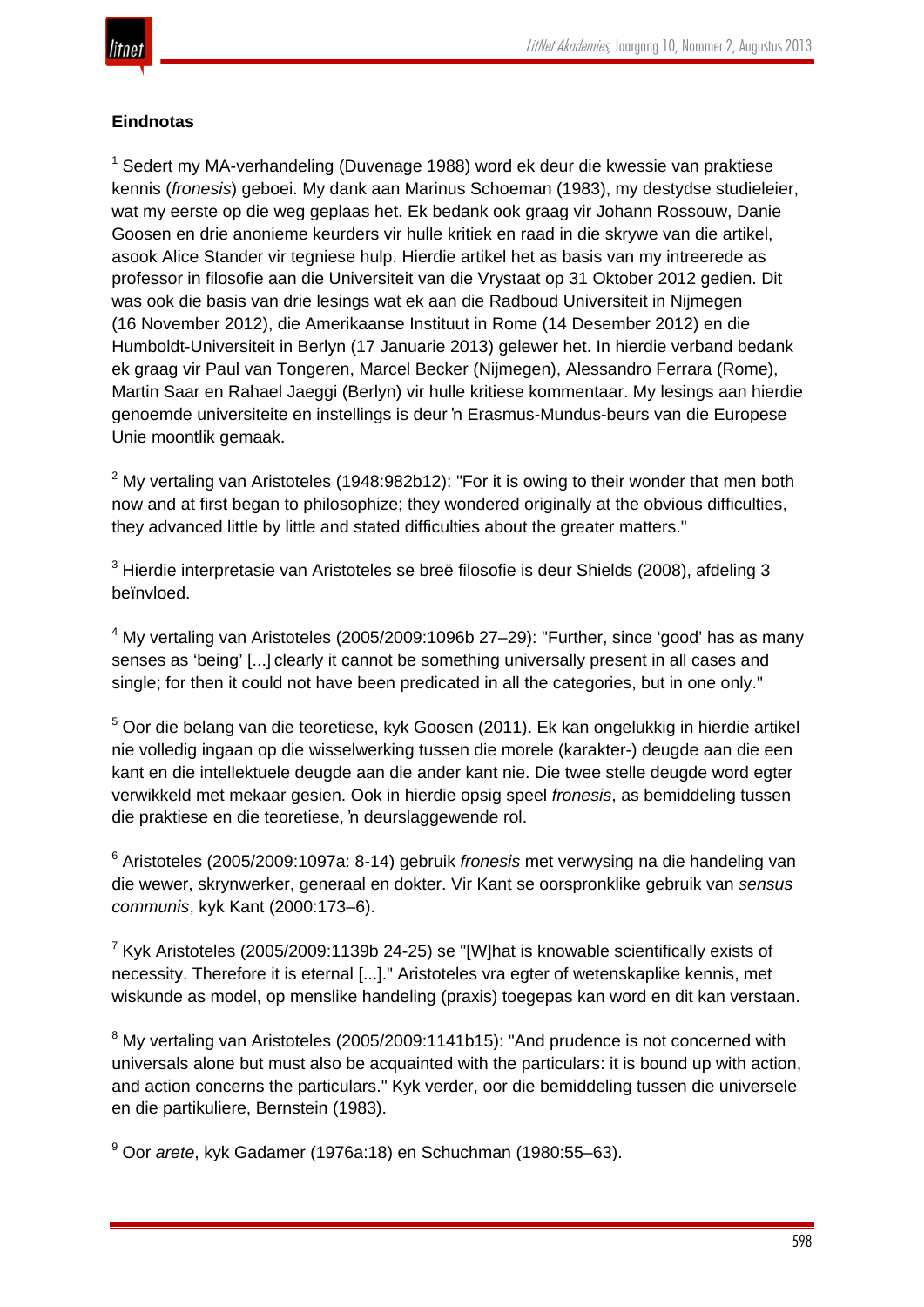# **Eindnotas**

<sup>1</sup> Sedert my MA-verhandeling (Duvenage 1988) word ek deur die kwessie van praktiese kennis (*fronesis*) geboei. My dank aan Marinus Schoeman (1983), my destydse studieleier, wat my eerste op die weg geplaas het. Ek bedank ook graag vir Johann Rossouw, Danie Goosen en drie anonieme keurders vir hulle kritiek en raad in die skrywe van die artikel, asook Alice Stander vir tegniese hulp. Hierdie artikel het as basis van my intreerede as professor in filosofie aan die Universiteit van die Vrystaat op 31 Oktober 2012 gedien. Dit was ook die basis van drie lesings wat ek aan die Radboud Universiteit in Nijmegen (16 November 2012), die Amerikaanse Instituut in Rome (14 Desember 2012) en die Humboldt-Universiteit in Berlyn (17 Januarie 2013) gelewer het. In hierdie verband bedank ek graag vir Paul van Tongeren, Marcel Becker (Nijmegen), Alessandro Ferrara (Rome), Martin Saar en Rahael Jaeggi (Berlyn) vir hulle kritiese kommentaar. My lesings aan hierdie genoemde universiteite en instellings is deur 'n Erasmus-Mundus-beurs van die Europese Unie moontlik gemaak.

 $2$  My vertaling van Aristoteles (1948:982b12): "For it is owing to their wonder that men both now and at first began to philosophize; they wondered originally at the obvious difficulties, they advanced little by little and stated difficulties about the greater matters."

<sup>3</sup> Hierdie interpretasie van Aristoteles se breë filosofie is deur Shields (2008), afdeling 3 beïnvloed.

 $4$  My vertaling van Aristoteles (2005/2009:1096b 27–29): "Further, since 'good' has as many senses as 'being' [...] clearly it cannot be something universally present in all cases and single; for then it could not have been predicated in all the categories, but in one only."

<sup>5</sup> Oor die belang van die teoretiese, kyk Goosen (2011). Ek kan ongelukkig in hierdie artikel nie volledig ingaan op die wisselwerking tussen die morele (karakter-) deugde aan die een kant en die intellektuele deugde aan die ander kant nie. Die twee stelle deugde word egter verwikkeld met mekaar gesien. Ook in hierdie opsig speel *fronesis*, as bemiddeling tussen die praktiese en die teoretiese, 'n deurslaggewende rol.

<sup>6</sup> Aristoteles (2005/2009:1097a: 8-14) gebruik *fronesis* met verwysing na die handeling van die wewer, skrynwerker, generaal en dokter. Vir Kant se oorspronklike gebruik van *sensus communis*, kyk Kant (2000:173–6).

 $7$  Kyk Aristoteles (2005/2009:1139b 24-25) se "[W]hat is knowable scientifically exists of necessity. Therefore it is eternal [...]." Aristoteles vra egter of wetenskaplike kennis, met wiskunde as model, op menslike handeling (praxis) toegepas kan word en dit kan verstaan.

 $8$  My vertaling van Aristoteles (2005/2009:1141b15): "And prudence is not concerned with universals alone but must also be acquainted with the particulars: it is bound up with action, and action concerns the particulars." Kyk verder, oor die bemiddeling tussen die universele en die partikuliere, Bernstein (1983).

<sup>9</sup> Oor *arete*, kyk Gadamer (1976a:18) en Schuchman (1980:55–63).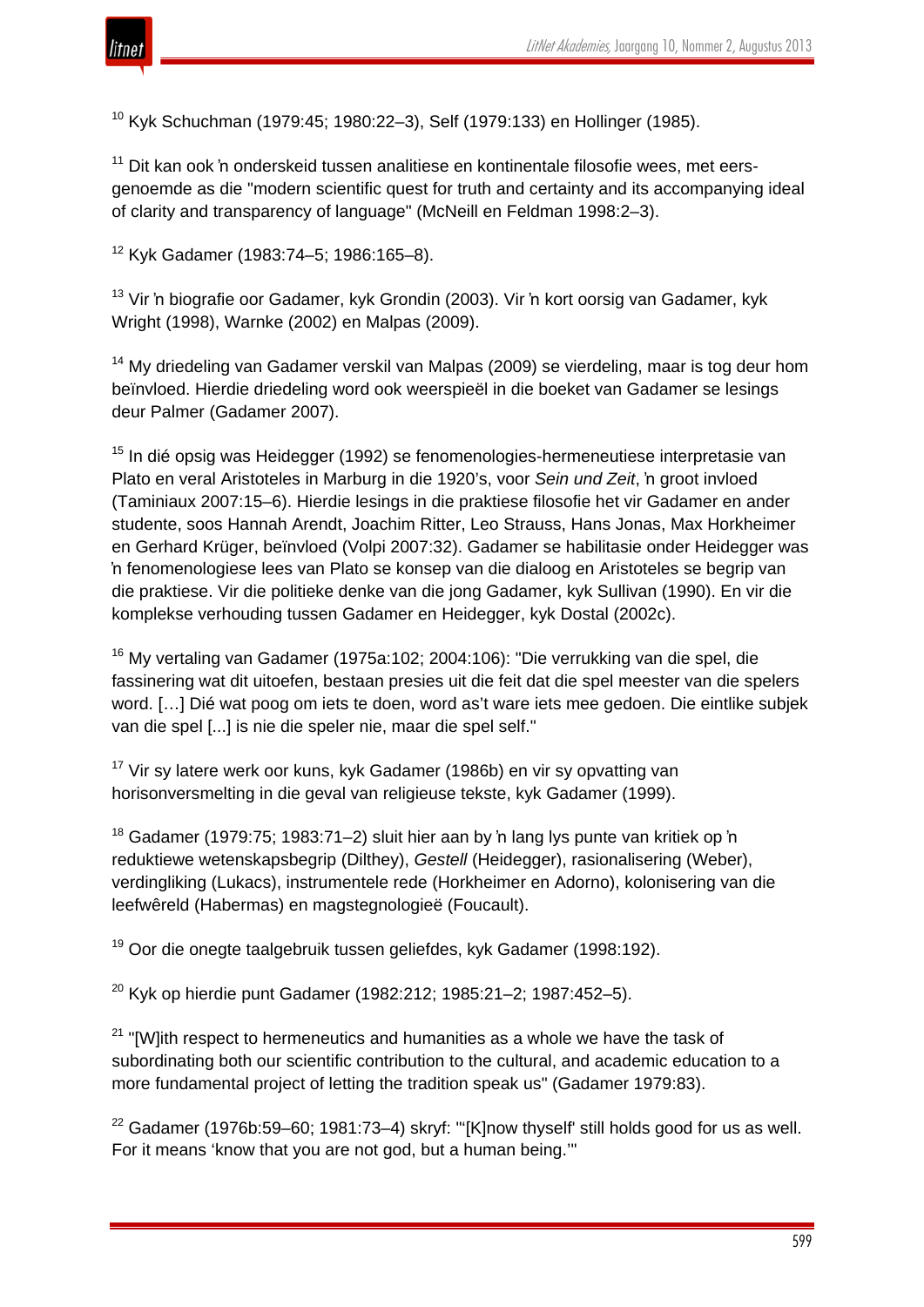

<sup>10</sup> Kyk Schuchman (1979:45; 1980:22–3), Self (1979:133) en Hollinger (1985).

<sup>11</sup> Dit kan ook 'n onderskeid tussen analitiese en kontinentale filosofie wees, met eersgenoemde as die "modern scientific quest for truth and certainty and its accompanying ideal of clarity and transparency of language" (McNeill en Feldman 1998:2–3).

<sup>12</sup> Kyk Gadamer (1983:74–5; 1986:165–8).

<sup>13</sup> Vir 'n biografie oor Gadamer, kyk Grondin (2003). Vir 'n kort oorsig van Gadamer, kyk Wright (1998), Warnke (2002) en Malpas (2009).

<sup>14</sup> My driedeling van Gadamer verskil van Malpas (2009) se vierdeling, maar is tog deur hom beïnvloed. Hierdie driedeling word ook weerspieël in die boeket van Gadamer se lesings deur Palmer (Gadamer 2007).

<sup>15</sup> In dié opsig was Heidegger (1992) se fenomenologies-hermeneutiese interpretasie van Plato en veral Aristoteles in Marburg in die 1920's, voor *Sein und Zeit*, 'n groot invloed (Taminiaux 2007:15–6). Hierdie lesings in die praktiese filosofie het vir Gadamer en ander studente, soos Hannah Arendt, Joachim Ritter, Leo Strauss, Hans Jonas, Max Horkheimer en Gerhard Krüger, beïnvloed (Volpi 2007:32). Gadamer se habilitasie onder Heidegger was 'n fenomenologiese lees van Plato se konsep van die dialoog en Aristoteles se begrip van die praktiese. Vir die politieke denke van die jong Gadamer, kyk Sullivan (1990). En vir die komplekse verhouding tussen Gadamer en Heidegger, kyk Dostal (2002c).

<sup>16</sup> My vertaling van Gadamer (1975a:102; 2004:106): "Die verrukking van die spel, die fassinering wat dit uitoefen, bestaan presies uit die feit dat die spel meester van die spelers word. […] Dié wat poog om iets te doen, word as't ware iets mee gedoen. Die eintlike subjek van die spel [...] is nie die speler nie, maar die spel self."

<sup>17</sup> Vir sy latere werk oor kuns, kyk Gadamer (1986b) en vir sy opvatting van horisonversmelting in die geval van religieuse tekste, kyk Gadamer (1999).

 $18$  Gadamer (1979:75; 1983:71–2) sluit hier aan by 'n lang lys punte van kritiek op 'n reduktiewe wetenskapsbegrip (Dilthey), *Gestell* (Heidegger), rasionalisering (Weber), verdingliking (Lukacs), instrumentele rede (Horkheimer en Adorno), kolonisering van die leefwêreld (Habermas) en magstegnologieë (Foucault).

<sup>19</sup> Oor die onegte taalgebruik tussen geliefdes, kyk Gadamer (1998:192).

 $20$  Kyk op hierdie punt Gadamer (1982:212; 1985:21–2; 1987:452–5).

 $21$  "[W]ith respect to hermeneutics and humanities as a whole we have the task of subordinating both our scientific contribution to the cultural, and academic education to a more fundamental project of letting the tradition speak us" (Gadamer 1979:83).

 $22$  Gadamer (1976b:59-60; 1981:73-4) skryf: "'[K]now thyself' still holds good for us as well. For it means 'know that you are not god, but a human being.'"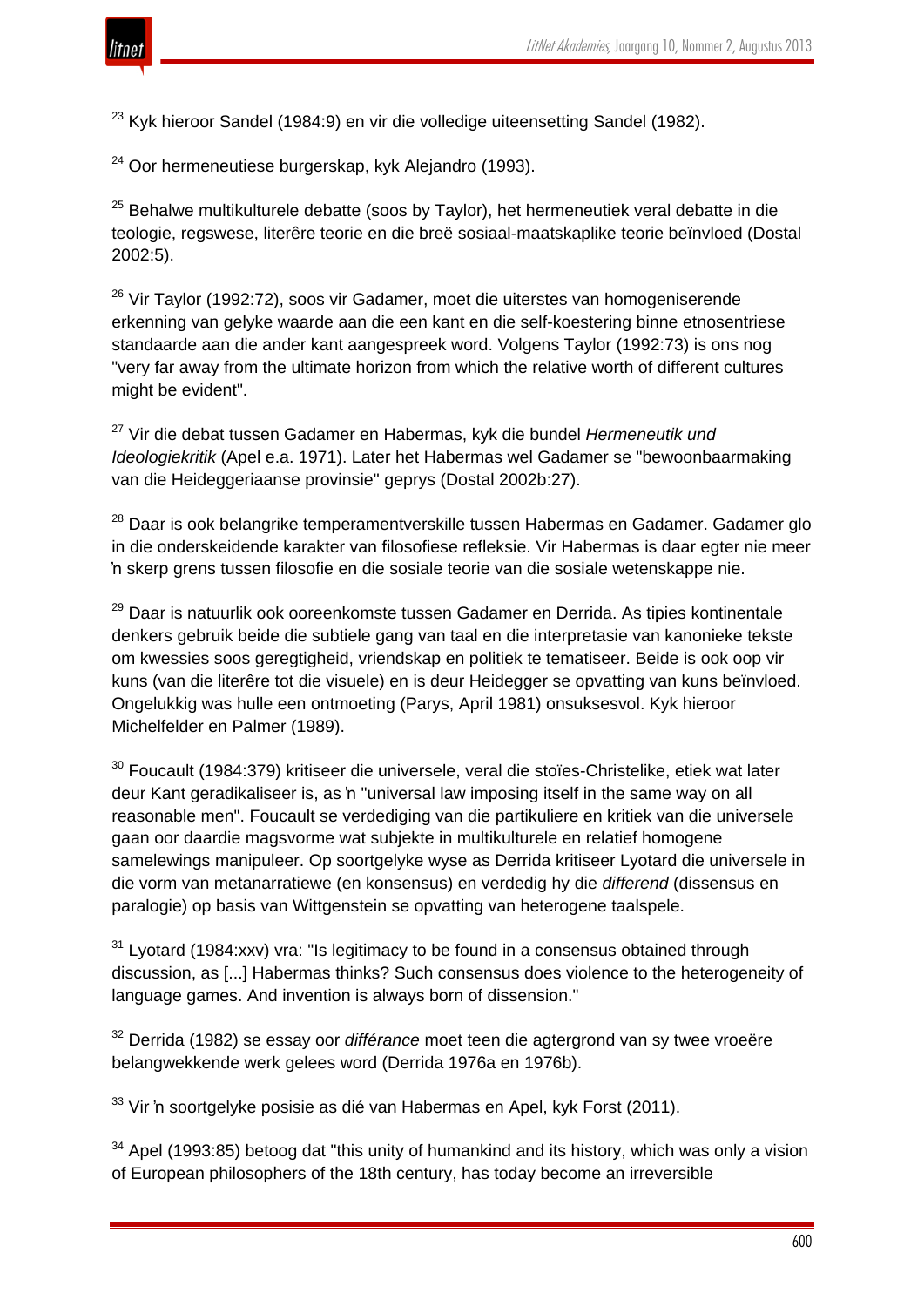

 $23$  Kyk hieroor Sandel (1984:9) en vir die volledige uiteensetting Sandel (1982).

 $24$  Oor hermeneutiese burgerskap, kyk Alejandro (1993).

 $25$  Behalwe multikulturele debatte (soos by Taylor), het hermeneutiek veral debatte in die teologie, regswese, literêre teorie en die breë sosiaal-maatskaplike teorie beïnvloed (Dostal 2002:5).

 $26$  Vir Taylor (1992:72), soos vir Gadamer, moet die uiterstes van homogeniserende erkenning van gelyke waarde aan die een kant en die self-koestering binne etnosentriese standaarde aan die ander kant aangespreek word. Volgens Taylor (1992:73) is ons nog "very far away from the ultimate horizon from which the relative worth of different cultures might be evident".

<sup>27</sup> Vir die debat tussen Gadamer en Habermas, kyk die bundel *Hermeneutik und Ideologiekritik* (Apel e.a. 1971). Later het Habermas wel Gadamer se "bewoonbaarmaking van die Heideggeriaanse provinsie" geprys (Dostal 2002b:27).

<sup>28</sup> Daar is ook belangrike temperamentverskille tussen Habermas en Gadamer. Gadamer glo in die onderskeidende karakter van filosofiese refleksie. Vir Habermas is daar egter nie meer 'n skerp grens tussen filosofie en die sosiale teorie van die sosiale wetenskappe nie.

<sup>29</sup> Daar is natuurlik ook ooreenkomste tussen Gadamer en Derrida. As tipies kontinentale denkers gebruik beide die subtiele gang van taal en die interpretasie van kanonieke tekste om kwessies soos geregtigheid, vriendskap en politiek te tematiseer. Beide is ook oop vir kuns (van die literêre tot die visuele) en is deur Heidegger se opvatting van kuns beïnvloed. Ongelukkig was hulle een ontmoeting (Parys, April 1981) onsuksesvol. Kyk hieroor Michelfelder en Palmer (1989).

 $30$  Foucault (1984:379) kritiseer die universele, veral die stoïes-Christelike, etiek wat later deur Kant geradikaliseer is, as 'n "universal law imposing itself in the same way on all reasonable men". Foucault se verdediging van die partikuliere en kritiek van die universele gaan oor daardie magsvorme wat subjekte in multikulturele en relatief homogene samelewings manipuleer. Op soortgelyke wyse as Derrida kritiseer Lyotard die universele in die vorm van metanarratiewe (en konsensus) en verdedig hy die *differend* (dissensus en paralogie) op basis van Wittgenstein se opvatting van heterogene taalspele.

 $31$  Lyotard (1984:xxv) vra: "Is legitimacy to be found in a consensus obtained through discussion, as [...] Habermas thinks? Such consensus does violence to the heterogeneity of language games. And invention is always born of dissension."

<sup>32</sup> Derrida (1982) se essay oor *différance* moet teen die agtergrond van sy twee vroeëre belangwekkende werk gelees word (Derrida 1976a en 1976b).

 $33$  Vir 'n soortgelyke posisie as dié van Habermas en Apel, kyk Forst (2011).

 $34$  Apel (1993:85) betoog dat "this unity of humankind and its history, which was only a vision of European philosophers of the 18th century, has today become an irreversible